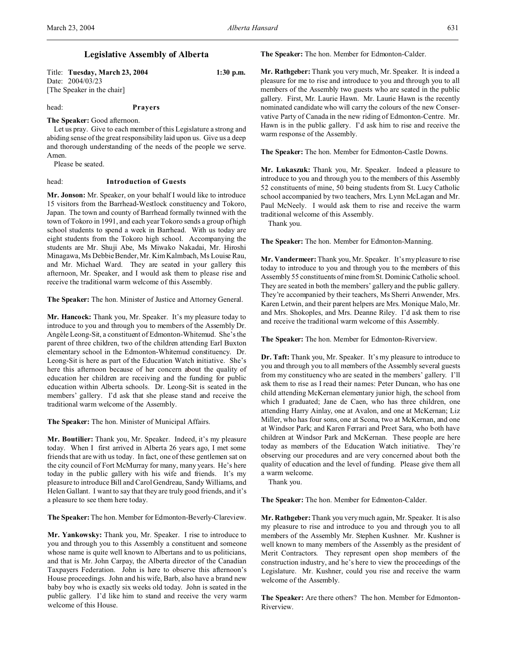# **Legislative Assembly of Alberta**

Title: **Tuesday, March 23, 2004 1:30 p.m.** Date: 2004/03/23 [The Speaker in the chair]

### head: **Prayers**

**The Speaker:** Good afternoon.

Let us pray. Give to each member of this Legislature a strong and abiding sense of the great responsibility laid upon us. Give us a deep and thorough understanding of the needs of the people we serve. Amen.

Please be seated.

# head: **Introduction of Guests**

**Mr. Jonson:** Mr. Speaker, on your behalf I would like to introduce 15 visitors from the Barrhead-Westlock constituency and Tokoro, Japan. The town and county of Barrhead formally twinned with the town of Tokoro in 1991, and each year Tokoro sends a group of high school students to spend a week in Barrhead. With us today are eight students from the Tokoro high school. Accompanying the students are Mr. Shuji Abe, Ms Miwako Nakadai, Mr. Hiroshi Minagawa, Ms Debbie Bender, Mr. Kim Kalmbach, Ms Louise Rau, and Mr. Michael Ward. They are seated in your gallery this afternoon, Mr. Speaker, and I would ask them to please rise and receive the traditional warm welcome of this Assembly.

**The Speaker:** The hon. Minister of Justice and Attorney General.

**Mr. Hancock:** Thank you, Mr. Speaker. It's my pleasure today to introduce to you and through you to members of the Assembly Dr. Angèle Leong-Sit, a constituent of Edmonton-Whitemud. She's the parent of three children, two of the children attending Earl Buxton elementary school in the Edmonton-Whitemud constituency. Dr. Leong-Sit is here as part of the Education Watch initiative. She's here this afternoon because of her concern about the quality of education her children are receiving and the funding for public education within Alberta schools. Dr. Leong-Sit is seated in the members' gallery. I'd ask that she please stand and receive the traditional warm welcome of the Assembly.

**The Speaker:** The hon. Minister of Municipal Affairs.

**Mr. Boutilier:** Thank you, Mr. Speaker. Indeed, it's my pleasure today. When I first arrived in Alberta 26 years ago, I met some friends that are with us today. In fact, one of these gentlemen sat on the city council of Fort McMurray for many, many years. He's here today in the public gallery with his wife and friends. It's my pleasure to introduce Bill and Carol Gendreau, Sandy Williams, and Helen Gallant. I want to say that they are truly good friends, and it's a pleasure to see them here today.

**The Speaker:**The hon. Member for Edmonton-Beverly-Clareview.

**Mr. Yankowsky:** Thank you, Mr. Speaker. I rise to introduce to you and through you to this Assembly a constituent and someone whose name is quite well known to Albertans and to us politicians, and that is Mr. John Carpay, the Alberta director of the Canadian Taxpayers Federation. John is here to observe this afternoon's House proceedings. John and his wife, Barb, also have a brand new baby boy who is exactly six weeks old today. John is seated in the public gallery. I'd like him to stand and receive the very warm welcome of this House.

**The Speaker:** The hon. Member for Edmonton-Calder.

**Mr. Rathgeber:** Thank you very much, Mr. Speaker. It is indeed a pleasure for me to rise and introduce to you and through you to all members of the Assembly two guests who are seated in the public gallery. First, Mr. Laurie Hawn. Mr. Laurie Hawn is the recently nominated candidate who will carry the colours of the new Conservative Party of Canada in the new riding of Edmonton-Centre. Mr. Hawn is in the public gallery. I'd ask him to rise and receive the warm response of the Assembly.

**The Speaker:** The hon. Member for Edmonton-Castle Downs.

**Mr. Lukaszuk:** Thank you, Mr. Speaker. Indeed a pleasure to introduce to you and through you to the members of this Assembly 52 constituents of mine, 50 being students from St. Lucy Catholic school accompanied by two teachers, Mrs. Lynn McLagan and Mr. Paul McNeely. I would ask them to rise and receive the warm traditional welcome of this Assembly.

Thank you.

**The Speaker:** The hon. Member for Edmonton-Manning.

**Mr. Vandermeer:** Thank you, Mr. Speaker. It's my pleasure to rise today to introduce to you and through you to the members of this Assembly 55 constituents of mine from St. Dominic Catholic school. They are seated in both the members' gallery and the public gallery. They're accompanied by their teachers, Ms Sherri Anwender, Mrs. Karen Letwin, and their parent helpers are Mrs. Monique Malo, Mr. and Mrs. Shokoples, and Mrs. Deanne Riley. I'd ask them to rise and receive the traditional warm welcome of this Assembly.

**The Speaker:** The hon. Member for Edmonton-Riverview.

**Dr. Taft:** Thank you, Mr. Speaker. It's my pleasure to introduce to you and through you to all members of the Assembly several guests from my constituency who are seated in the members' gallery. I'll ask them to rise as I read their names: Peter Duncan, who has one child attending McKernan elementary junior high, the school from which I graduated; Jane de Caen, who has three children, one attending Harry Ainlay, one at Avalon, and one at McKernan; Liz Miller, who has four sons, one at Scona, two at McKernan, and one at Windsor Park; and Karen Ferrari and Preet Sara, who both have children at Windsor Park and McKernan. These people are here today as members of the Education Watch initiative. They're observing our procedures and are very concerned about both the quality of education and the level of funding. Please give them all a warm welcome.

Thank you.

**The Speaker:** The hon. Member for Edmonton-Calder.

**Mr. Rathgeber:** Thank you very much again, Mr. Speaker. It is also my pleasure to rise and introduce to you and through you to all members of the Assembly Mr. Stephen Kushner. Mr. Kushner is well known to many members of the Assembly as the president of Merit Contractors. They represent open shop members of the construction industry, and he's here to view the proceedings of the Legislature. Mr. Kushner, could you rise and receive the warm welcome of the Assembly.

**The Speaker:** Are there others? The hon. Member for Edmonton-Riverview.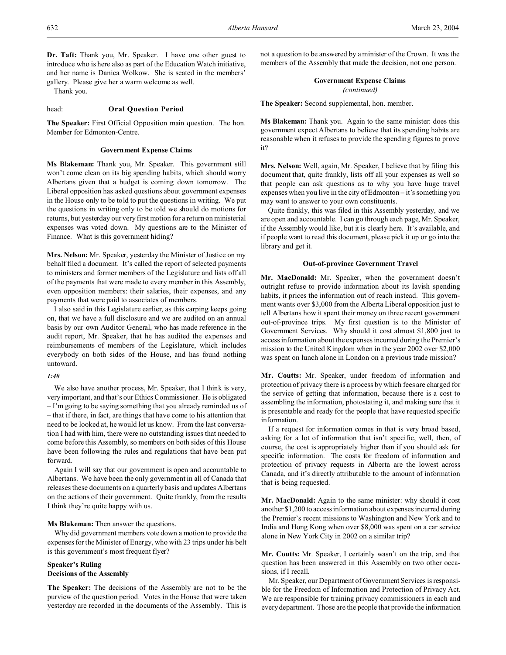**Dr. Taft:** Thank you, Mr. Speaker. I have one other guest to introduce who is here also as part of the Education Watch initiative, and her name is Danica Wolkow. She is seated in the members' gallery. Please give her a warm welcome as well.

Thank you.

#### head: **Oral Question Period**

**The Speaker:** First Official Opposition main question. The hon. Member for Edmonton-Centre.

#### **Government Expense Claims**

**Ms Blakeman:** Thank you, Mr. Speaker. This government still won't come clean on its big spending habits, which should worry Albertans given that a budget is coming down tomorrow. The Liberal opposition has asked questions about government expenses in the House only to be told to put the questions in writing. We put the questions in writing only to be told we should do motions for returns, but yesterday our very first motion for a return on ministerial expenses was voted down. My questions are to the Minister of Finance. What is this government hiding?

**Mrs. Nelson:** Mr. Speaker, yesterday the Minister of Justice on my behalf filed a document. It's called the report of selected payments to ministers and former members of the Legislature and lists off all of the payments that were made to every member in this Assembly, even opposition members: their salaries, their expenses, and any payments that were paid to associates of members.

I also said in this Legislature earlier, as this carping keeps going on, that we have a full disclosure and we are audited on an annual basis by our own Auditor General, who has made reference in the audit report, Mr. Speaker, that he has audited the expenses and reimbursements of members of the Legislature, which includes everybody on both sides of the House, and has found nothing untoward.

#### *1:40*

We also have another process, Mr. Speaker, that I think is very, very important, and that's our Ethics Commissioner. He is obligated – I'm going to be saying something that you already reminded us of – that if there, in fact, are things that have come to his attention that need to be looked at, he would let us know. From the last conversation I had with him, there were no outstanding issues that needed to come before this Assembly, so members on both sides of this House have been following the rules and regulations that have been put forward.

Again I will say that our government is open and accountable to Albertans. We have been the only government in all of Canada that releases these documents on a quarterly basis and updates Albertans on the actions of their government. Quite frankly, from the results I think they're quite happy with us.

#### **Ms Blakeman:** Then answer the questions.

Why did government members vote down a motion to provide the expenses for the Minister of Energy, who with 23 trips under his belt is this government's most frequent flyer?

# **Speaker's Ruling Decisions of the Assembly**

**The Speaker:** The decisions of the Assembly are not to be the purview of the question period. Votes in the House that were taken yesterday are recorded in the documents of the Assembly. This is

not a question to be answered by a minister of the Crown. It was the members of the Assembly that made the decision, not one person.

# **Government Expense Claims**

*(continued)*

**The Speaker:** Second supplemental, hon. member.

**Ms Blakeman:** Thank you. Again to the same minister: does this government expect Albertans to believe that its spending habits are reasonable when it refuses to provide the spending figures to prove it?

**Mrs. Nelson:** Well, again, Mr. Speaker, I believe that by filing this document that, quite frankly, lists off all your expenses as well so that people can ask questions as to why you have huge travel expenses when you live in the city of Edmonton – it's something you may want to answer to your own constituents.

Quite frankly, this was filed in this Assembly yesterday, and we are open and accountable. I can go through each page, Mr. Speaker, if the Assembly would like, but it is clearly here. It's available, and if people want to read this document, please pick it up or go into the library and get it.

#### **Out-of-province Government Travel**

**Mr. MacDonald:** Mr. Speaker, when the government doesn't outright refuse to provide information about its lavish spending habits, it prices the information out of reach instead. This government wants over \$3,000 from the Alberta Liberal opposition just to tell Albertans how it spent their money on three recent government out-of-province trips. My first question is to the Minister of Government Services. Why should it cost almost \$1,800 just to access information about the expenses incurred during the Premier's mission to the United Kingdom when in the year 2002 over \$2,000 was spent on lunch alone in London on a previous trade mission?

**Mr. Coutts:** Mr. Speaker, under freedom of information and protection of privacy there is a process by which fees are charged for the service of getting that information, because there is a cost to assembling the information, photostating it, and making sure that it is presentable and ready for the people that have requested specific information.

If a request for information comes in that is very broad based, asking for a lot of information that isn't specific, well, then, of course, the cost is appropriately higher than if you should ask for specific information. The costs for freedom of information and protection of privacy requests in Alberta are the lowest across Canada, and it's directly attributable to the amount of information that is being requested.

**Mr. MacDonald:** Again to the same minister: why should it cost another \$1,200 to accessinformation about expenses incurred during the Premier's recent missions to Washington and New York and to India and Hong Kong when over \$8,000 was spent on a car service alone in New York City in 2002 on a similar trip?

**Mr. Coutts:** Mr. Speaker, I certainly wasn't on the trip, and that question has been answered in this Assembly on two other occasions, if I recall.

Mr. Speaker, our Department of Government Services is responsible for the Freedom of Information and Protection of Privacy Act. We are responsible for training privacy commissioners in each and every department. Those are the people that provide the information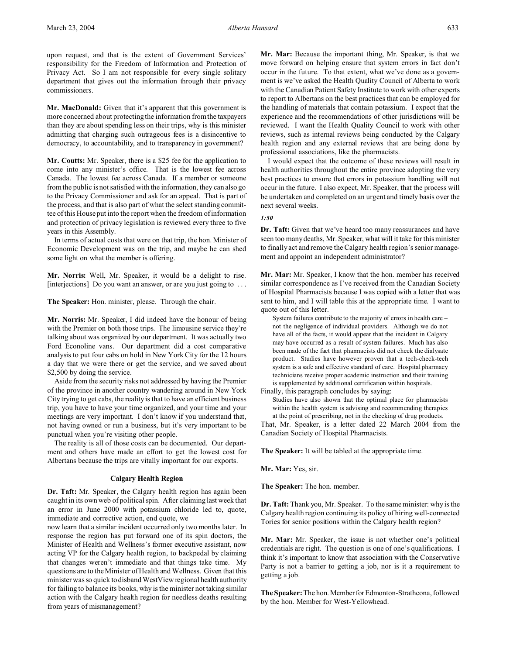upon request, and that is the extent of Government Services' responsibility for the Freedom of Information and Protection of Privacy Act. So I am not responsible for every single solitary department that gives out the information through their privacy commissioners.

**Mr. MacDonald:** Given that it's apparent that this government is more concerned about protecting the information from the taxpayers than they are about spending less on their trips, why is this minister admitting that charging such outrageous fees is a disincentive to democracy, to accountability, and to transparency in government?

**Mr. Coutts:** Mr. Speaker, there is a \$25 fee for the application to come into any minister's office. That is the lowest fee across Canada. The lowest fee across Canada. If a member or someone from the public is not satisfied with the information, they can also go to the Privacy Commissioner and ask for an appeal. That is part of the process, and that is also part of what the select standing committee of this House put into the report when the freedom of information and protection of privacy legislation is reviewed every three to five years in this Assembly.

In terms of actual costs that were on that trip, the hon. Minister of Economic Development was on the trip, and maybe he can shed some light on what the member is offering.

**Mr. Norris:** Well, Mr. Speaker, it would be a delight to rise. [interjections] Do you want an answer, or are you just going to ...

**The Speaker:** Hon. minister, please. Through the chair.

**Mr. Norris:** Mr. Speaker, I did indeed have the honour of being with the Premier on both those trips. The limousine service they're talking about was organized by our department. It was actually two Ford Econoline vans. Our department did a cost comparative analysis to put four cabs on hold in New York City for the 12 hours a day that we were there or get the service, and we saved about \$2,500 by doing the service.

Aside from the security risks not addressed by having the Premier of the province in another country wandering around in New York City trying to get cabs, the reality is that to have an efficient business trip, you have to have your time organized, and your time and your meetings are very important. I don't know if you understand that, not having owned or run a business, but it's very important to be punctual when you're visiting other people.

The reality is all of those costs can be documented. Our department and others have made an effort to get the lowest cost for Albertans because the trips are vitally important for our exports.

#### **Calgary Health Region**

**Dr. Taft:** Mr. Speaker, the Calgary health region has again been caught in its own web of political spin. After claiming last week that an error in June 2000 with potassium chloride led to, quote, immediate and corrective action, end quote, we

now learn that a similar incident occurred only two months later. In response the region has put forward one of its spin doctors, the Minister of Health and Wellness's former executive assistant, now acting VP for the Calgary health region, to backpedal by claiming that changes weren't immediate and that things take time. My questions are to the Minister of Health and Wellness. Given that this minister was so quick to disband WestView regional health authority for failing to balance its books, why is the minister not taking similar action with the Calgary health region for needless deaths resulting from years of mismanagement?

**Mr. Mar:** Because the important thing, Mr. Speaker, is that we move forward on helping ensure that system errors in fact don't occur in the future. To that extent, what we've done as a government is we've asked the Health Quality Council of Alberta to work with the Canadian Patient Safety Institute to work with other experts to report to Albertans on the best practices that can be employed for the handling of materials that contain potassium. I expect that the experience and the recommendations of other jurisdictions will be reviewed. I want the Health Quality Council to work with other reviews, such as internal reviews being conducted by the Calgary health region and any external reviews that are being done by professional associations, like the pharmacists.

I would expect that the outcome of these reviews will result in health authorities throughout the entire province adopting the very best practices to ensure that errors in potassium handling will not occur in the future. I also expect, Mr. Speaker, that the process will be undertaken and completed on an urgent and timely basis over the next several weeks.

# *1:50*

**Dr. Taft:** Given that we've heard too many reassurances and have seen too many deaths, Mr. Speaker, what will it take for this minister to finally act and remove the Calgary health region's senior management and appoint an independent administrator?

**Mr. Mar:** Mr. Speaker, I know that the hon. member has received similar correspondence as I've received from the Canadian Society of Hospital Pharmacists because I was copied with a letter that was sent to him, and I will table this at the appropriate time. I want to quote out of this letter.

System failures contribute to the majority of errors in health care – not the negligence of individual providers. Although we do not have all of the facts, it would appear that the incident in Calgary may have occurred as a result of system failures. Much has also been made of the fact that pharmacists did not check the dialysate product. Studies have however proven that a tech-check-tech system is a safe and effective standard of care. Hospital pharmacy technicians receive proper academic instruction and their training is supplemented by additional certification within hospitals.

Finally, this paragraph concludes by saying: Studies have also shown that the optimal place for pharmacists within the health system is advising and recommending therapies at the point of prescribing, not in the checking of drug products.

That, Mr. Speaker, is a letter dated 22 March 2004 from the Canadian Society of Hospital Pharmacists.

**The Speaker:** It will be tabled at the appropriate time.

**Mr. Mar:** Yes, sir.

**The Speaker:** The hon. member.

**Dr. Taft:** Thank you, Mr. Speaker. To the same minister: why is the Calgary health region continuing its policy of hiring well-connected Tories for senior positions within the Calgary health region?

**Mr. Mar:** Mr. Speaker, the issue is not whether one's political credentials are right. The question is one of one's qualifications. I think it's important to know that association with the Conservative Party is not a barrier to getting a job, nor is it a requirement to getting a job.

**The Speaker:** The hon. Member for Edmonton-Strathcona, followed by the hon. Member for West-Yellowhead.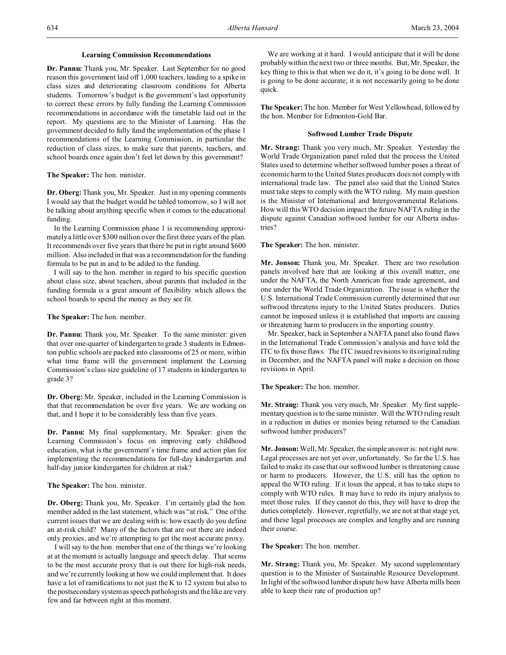#### **Learning Commission Recommendations**

**Dr. Pannu:** Thank you, Mr. Speaker. Last September for no good reason this government laid off 1,000 teachers, leading to a spike in class sizes and deteriorating classroom conditions for Alberta students. Tomorrow's budget is the government's last opportunity to correct these errors by fully funding the Learning Commission recommendations in accordance with the timetable laid out in the report. My questions are to the Minister of Learning. Has the government decided to fully fund the implementation of the phase 1 recommendations of the Learning Commission, in particular the reduction of class sizes, to make sure that parents, teachers, and school boards once again don't feel let down by this government?

**The Speaker:** The hon. minister.

**Dr. Oberg:**Thank you, Mr. Speaker. Just in my opening comments I would say that the budget would be tabled tomorrow, so I will not be talking about anything specific when it comes to the educational funding.

In the Learning Commission phase 1 is recommending approximately a little over \$300 million over the first three years of the plan. It recommends over five years that there be put in right around \$600 million. Also included in that was a recommendation for the funding formula to be put in and to be added to the funding.

I will say to the hon. member in regard to his specific question about class size, about teachers, about parents that included in the funding formula is a great amount of flexibility which allows the school boards to spend the money as they see fit.

**The Speaker:** The hon. member.

**Dr. Pannu:** Thank you, Mr. Speaker. To the same minister: given that over one-quarter of kindergarten to grade 3 students in Edmonton public schools are packed into classrooms of 25 or more, within what time frame will the government implement the Learning Commission's class size guideline of 17 students in kindergarten to grade 3?

**Dr. Oberg:** Mr. Speaker, included in the Learning Commission is that that recommendation be over five years. We are working on that, and I hope it to be considerably less than five years.

**Dr. Pannu:** My final supplementary, Mr. Speaker: given the Learning Commission's focus on improving early childhood education, what is the government's time frame and action plan for implementing the recommendations for full-day kindergarten and half-day junior kindergarten for children at risk?

**The Speaker:** The hon. minister.

**Dr. Oberg:** Thank you, Mr. Speaker. I'm certainly glad the hon. member added in the last statement, which was "at risk." One of the current issues that we are dealing with is: how exactly do you define an at-risk child? Many of the factors that are out there are indeed only proxies, and we're attempting to get the most accurate proxy.

I will say to the hon. member that one of the things we're looking at at the moment is actually language and speech delay. That seems to be the most accurate proxy that is out there for high-risk needs, and we're currently looking at how we could implement that. It does have a lot of ramifications to not just the K to 12 system but also to the postsecondary system as speech pathologists and the like are very few and far between right at this moment.

We are working at it hard. I would anticipate that it will be done probably within the next two or three months. But, Mr. Speaker, the key thing to this is that when we do it, it's going to be done well. It is going to be done accurate; it is not necessarily going to be done quick.

**The Speaker:**The hon. Member for West Yellowhead, followed by the hon. Member for Edmonton-Gold Bar.

### **Softwood Lumber Trade Dispute**

**Mr. Strang:** Thank you very much, Mr. Speaker. Yesterday the World Trade Organization panel ruled that the process the United States used to determine whether softwood lumber poses a threat of economic harm to the United States producers does not comply with international trade law. The panel also said that the United States must take steps to comply with the WTO ruling. My main question is the Minister of International and Intergovernmental Relations. How will this WTO decision impact the future NAFTA ruling in the dispute against Canadian softwood lumber for our Alberta industries?

**The Speaker:** The hon. minister.

**Mr. Jonson:** Thank you, Mr. Speaker. There are two resolution panels involved here that are looking at this overall matter, one under the NAFTA, the North American free trade agreement, and one under the World Trade Organization. The issue is whether the U.S. International Trade Commission currently determined that our softwood threatens injury to the United States producers. Duties cannot be imposed unless it is established that imports are causing or threatening harm to producers in the importing country.

Mr. Speaker, back in September a NAFTA panel also found flaws in the International Trade Commission's analysis and have told the ITC to fix those flaws. The ITC issued revisions to its original ruling in December, and the NAFTA panel will make a decision on those revisions in April.

**The Speaker:** The hon. member.

**Mr. Strang:** Thank you very much, Mr. Speaker. My first supplementary question is to the same minister. Will the WTO ruling result in a reduction in duties or monies being returned to the Canadian softwood lumber producers?

**Mr. Jonson:** Well, Mr. Speaker, the simple answer is: not right now. Legal processes are not yet over, unfortunately. So far the U.S. has failed to make its case that our softwood lumber is threatening cause or harm to producers. However, the U.S. still has the option to appeal the WTO ruling. If it loses the appeal, it has to take steps to comply with WTO rules. It may have to redo its injury analysis to meet those rules. If they cannot do this, they will have to drop the duties completely. However, regretfully, we are not at that stage yet, and these legal processes are complex and lengthy and are running their course.

**The Speaker:** The hon. member.

**Mr. Strang:** Thank you, Mr. Speaker. My second supplementary question is to the Minister of Sustainable Resource Development. In light of the softwood lumber dispute how have Alberta mills been able to keep their rate of production up?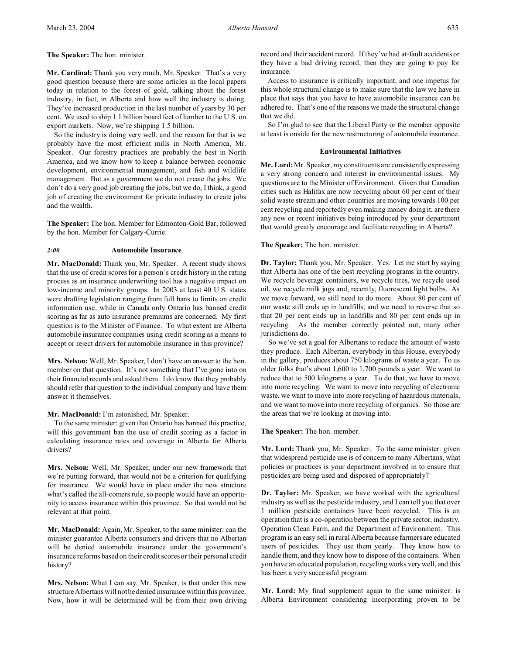**Mr. Cardinal:** Thank you very much, Mr. Speaker. That's a very good question because there are some articles in the local papers today in relation to the forest of gold, talking about the forest industry, in fact, in Alberta and how well the industry is doing. They've increased production in the last number of years by 30 per cent. We used to ship 1.1 billion board feet of lumber to the U.S. on export markets. Now, we're shipping 1.5 billion.

So the industry is doing very well, and the reason for that is we probably have the most efficient mills in North America, Mr. Speaker. Our forestry practices are probably the best in North America, and we know how to keep a balance between economic development, environmental management, and fish and wildlife management. But as a government we do not create the jobs. We don't do a very good job creating the jobs, but we do, I think, a good job of creating the environment for private industry to create jobs and the wealth.

**The Speaker:** The hon. Member for Edmonton-Gold Bar, followed by the hon. Member for Calgary-Currie.

#### *2:00* **Automobile Insurance**

**Mr. MacDonald:** Thank you, Mr. Speaker. A recent study shows that the use of credit scores for a person's credit history in the rating process as an insurance underwriting tool has a negative impact on low-income and minority groups. In 2003 at least 40 U.S. states were drafting legislation ranging from full bans to limits on credit information use, while in Canada only Ontario has banned credit scoring as far as auto insurance premiums are concerned. My first question is to the Minister of Finance. To what extent are Alberta automobile insurance companies using credit scoring as a means to accept or reject drivers for automobile insurance in this province?

**Mrs. Nelson:** Well, Mr. Speaker, I don't have an answer to the hon. member on that question. It's not something that I've gone into on their financial records and asked them. I do know that they probably should refer that question to the individual company and have them answer it themselves.

#### **Mr. MacDonald:** I'm astonished, Mr. Speaker.

To the same minister: given that Ontario has banned this practice, will this government ban the use of credit scoring as a factor in calculating insurance rates and coverage in Alberta for Alberta drivers?

**Mrs. Nelson:** Well, Mr. Speaker, under our new framework that we're putting forward, that would not be a criterion for qualifying for insurance. We would have in place under the new structure what's called the all-comers rule, so people would have an opportunity to access insurance within this province. So that would not be relevant at that point.

**Mr. MacDonald:** Again, Mr. Speaker, to the same minister: can the minister guarantee Alberta consumers and drivers that no Albertan will be denied automobile insurance under the government's insurance reforms based on their credit scores or their personal credit history?

**Mrs. Nelson:** What I can say, Mr. Speaker, is that under this new structure Albertans will notbe denied insurance within this province. Now, how it will be determined will be from their own driving record and their accident record. If they've had at-fault accidents or they have a bad driving record, then they are going to pay for insurance.

Access to insurance is critically important, and one impetus for this whole structural change is to make sure that the law we have in place that says that you have to have automobile insurance can be adhered to. That's one of the reasons we made the structural change that we did.

So I'm glad to see that the Liberal Party or the member opposite at least is onside for the new restructuring of automobile insurance.

#### **Environmental Initiatives**

**Mr. Lord:**Mr. Speaker, my constituents are consistently expressing a very strong concern and interest in environmental issues. My questions are to the Minister of Environment. Given that Canadian cities such as Halifax are now recycling about 60 per cent of their solid waste stream and other countries are moving towards 100 per cent recycling and reportedly even making money doing it, are there any new or recent initiatives being introduced by your department that would greatly encourage and facilitate recycling in Alberta?

#### **The Speaker:** The hon. minister.

**Dr. Taylor:** Thank you, Mr. Speaker. Yes. Let me start by saying that Alberta has one of the best recycling programs in the country. We recycle beverage containers, we recycle tires, we recycle used oil, we recycle milk jugs and, recently, fluorescent light bulbs. As we move forward, we still need to do more. About 80 per cent of our waste still ends up in landfills, and we need to reverse that so that 20 per cent ends up in landfills and 80 per cent ends up in recycling. As the member correctly pointed out, many other jurisdictions do.

So we've set a goal for Albertans to reduce the amount of waste they produce. Each Albertan, everybody in this House, everybody in the gallery, produces about 750 kilograms of waste a year. To us older folks that's about 1,600 to 1,700 pounds a year. We want to reduce that to 500 kilograms a year. To do that, we have to move into more recycling. We want to move into recycling of electronic waste, we want to move into more recycling of hazardous materials, and we want to move into more recycling of organics. So those are the areas that we're looking at moving into.

#### **The Speaker:** The hon. member.

**Mr. Lord:** Thank you, Mr. Speaker. To the same minister: given that widespread pesticide use is of concern to many Albertans, what policies or practices is your department involved in to ensure that pesticides are being used and disposed of appropriately?

**Dr. Taylor:** Mr. Speaker, we have worked with the agricultural industry as well as the pesticide industry, and I can tell you that over 1 million pesticide containers have been recycled. This is an operation that is a co-operation between the private sector, industry, Operation Clean Farm, and the Department of Environment. This program is an easy sell in rural Alberta because farmers are educated users of pesticides. They use them yearly. They know how to handle them, and they know how to dispose of the containers. When you have an educated population, recycling works very well, and this has been a very successful program.

**Mr. Lord:** My final supplement again to the same minister: is Alberta Environment considering incorporating proven to be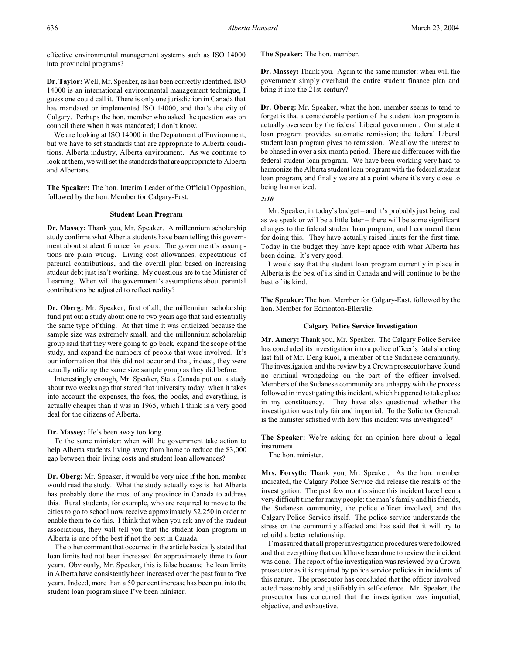effective environmental management systems such as ISO 14000 into provincial programs?

**Dr. Taylor:** Well, Mr. Speaker, as has been correctly identified, ISO 14000 is an international environmental management technique, I guess one could call it. There is only one jurisdiction in Canada that has mandated or implemented ISO 14000, and that's the city of Calgary. Perhaps the hon. member who asked the question was on council there when it was mandated; I don't know.

We are looking at ISO 14000 in the Department of Environment, but we have to set standards that are appropriate to Alberta conditions, Alberta industry, Alberta environment. As we continue to look at them, we will set the standards that are appropriate to Alberta and Albertans.

**The Speaker:** The hon. Interim Leader of the Official Opposition, followed by the hon. Member for Calgary-East.

#### **Student Loan Program**

**Dr. Massey:** Thank you, Mr. Speaker. A millennium scholarship study confirms what Alberta students have been telling this government about student finance for years. The government's assumptions are plain wrong. Living cost allowances, expectations of parental contributions, and the overall plan based on increasing student debt just isn't working. My questions are to the Minister of Learning. When will the government's assumptions about parental contributions be adjusted to reflect reality?

**Dr. Oberg:** Mr. Speaker, first of all, the millennium scholarship fund put out a study about one to two years ago that said essentially the same type of thing. At that time it was criticized because the sample size was extremely small, and the millennium scholarship group said that they were going to go back, expand the scope of the study, and expand the numbers of people that were involved. It's our information that this did not occur and that, indeed, they were actually utilizing the same size sample group as they did before.

Interestingly enough, Mr. Speaker, Stats Canada put out a study about two weeks ago that stated that university today, when it takes into account the expenses, the fees, the books, and everything, is actually cheaper than it was in 1965, which I think is a very good deal for the citizens of Alberta.

**Dr. Massey:** He's been away too long.

To the same minister: when will the government take action to help Alberta students living away from home to reduce the \$3,000 gap between their living costs and student loan allowances?

**Dr. Oberg:** Mr. Speaker, it would be very nice if the hon. member would read the study. What the study actually says is that Alberta has probably done the most of any province in Canada to address this. Rural students, for example, who are required to move to the cities to go to school now receive approximately \$2,250 in order to enable them to do this. I think that when you ask any of the student associations, they will tell you that the student loan program in Alberta is one of the best if not the best in Canada.

The other comment that occurred in the article basically stated that loan limits had not been increased for approximately three to four years. Obviously, Mr. Speaker, this is false because the loan limits in Alberta have consistently been increased over the past four to five years. Indeed, more than a 50 per cent increase has been put into the student loan program since I've been minister.

**The Speaker:** The hon. member.

**Dr. Massey:** Thank you. Again to the same minister: when will the government simply overhaul the entire student finance plan and bring it into the 21st century?

**Dr. Oberg:** Mr. Speaker, what the hon. member seems to tend to forget is that a considerable portion of the student loan program is actually overseen by the federal Liberal government. Our student loan program provides automatic remission; the federal Liberal student loan program gives no remission. We allow the interest to be phased in over a six-month period. There are differences with the federal student loan program. We have been working very hard to harmonize the Alberta student loan program with the federal student loan program, and finally we are at a point where it's very close to being harmonized.

*2:10*

Mr. Speaker, in today's budget – and it's probably just being read as we speak or will be a little later – there will be some significant changes to the federal student loan program, and I commend them for doing this. They have actually raised limits for the first time. Today in the budget they have kept apace with what Alberta has been doing. It's very good.

I would say that the student loan program currently in place in Alberta is the best of its kind in Canada and will continue to be the best of its kind.

**The Speaker:** The hon. Member for Calgary-East, followed by the hon. Member for Edmonton-Ellerslie.

## **Calgary Police Service Investigation**

**Mr. Amery:** Thank you, Mr. Speaker. The Calgary Police Service has concluded its investigation into a police officer's fatal shooting last fall of Mr. Deng Kuol, a member of the Sudanese community. The investigation and the review by a Crown prosecutor have found no criminal wrongdoing on the part of the officer involved. Members of the Sudanese community are unhappy with the process followed in investigating this incident, which happened to take place in my constituency. They have also questioned whether the investigation was truly fair and impartial. To the Solicitor General: is the minister satisfied with how this incident was investigated?

**The Speaker:** We're asking for an opinion here about a legal instrument.

The hon. minister.

**Mrs. Forsyth:** Thank you, Mr. Speaker. As the hon. member indicated, the Calgary Police Service did release the results of the investigation. The past few months since this incident have been a very difficult time for many people: the man's family and his friends, the Sudanese community, the police officer involved, and the Calgary Police Service itself. The police service understands the stress on the community affected and has said that it will try to rebuild a better relationship.

I'm assured that all proper investigation procedures were followed and that everything that could have been done to review the incident was done. The report of the investigation was reviewed by a Crown prosecutor as it is required by police service policies in incidents of this nature. The prosecutor has concluded that the officer involved acted reasonably and justifiably in self-defence. Mr. Speaker, the prosecutor has concurred that the investigation was impartial, objective, and exhaustive.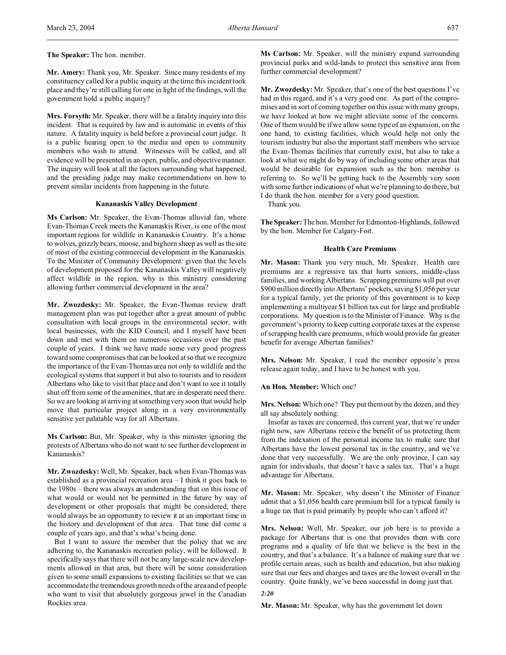**Mr. Amery:** Thank you, Mr. Speaker. Since many residents of my constituency called for a public inquiry at the time this incident took place and they're still calling for one in light of the findings, will the government hold a public inquiry?

**Mrs. Forsyth:** Mr. Speaker, there will be a fatality inquiry into this incident. That is required by law and is automatic in events of this nature. A fatality inquiry is held before a provincial court judge. It is a public hearing open to the media and open to community members who wish to attend. Witnesses will be called, and all evidence will be presented in an open, public, and objective manner. The inquiry will look at all the factors surrounding what happened, and the presiding judge may make recommendations on how to prevent similar incidents from happening in the future.

# **Kananaskis Valley Development**

**Ms Carlson:** Mr. Speaker, the Evan-Thomas alluvial fan, where Evan-Thomas Creek meets the Kananaskis River, is one of the most important regions for wildlife in Kananaskis Country. It's a home to wolves, grizzly bears, moose, and bighorn sheep as well as the site of most of the existing commercial development in the Kananaskis. To the Minister of Community Development: given that the levels of development proposed for the Kananaskis Valley will negatively affect wildlife in the region, why is this ministry considering allowing further commercial development in the area?

**Mr. Zwozdesky:** Mr. Speaker, the Evan-Thomas review draft management plan was put together after a great amount of public consultation with local groups in the environmental sector, with local businesses, with the KID Council, and I myself have been down and met with them on numerous occasions over the past couple of years. I think we have made some very good progress toward some compromises that can be looked at so that we recognize the importance of the Evan-Thomas area not only to wildlife and the ecological systems that support it but also to tourists and to resident Albertans who like to visit that place and don't want to see it totally shut off from some of the amenities, that are in desperate need there. So we are looking at arriving at something very soon that would help move that particular project along in a very environmentally sensitive yet palatable way for all Albertans.

**Ms Carlson:** But, Mr. Speaker, why is this minister ignoring the protests of Albertans who do not want to see further development in Kananaskis?

**Mr. Zwozdesky:** Well, Mr. Speaker, back when Evan-Thomas was established as a provincial recreation area – I think it goes back to the 1980s – there was always an understanding that on this issue of what would or would not be permitted in the future by way of development or other proposals that might be considered, there would always be an opportunity to review it at an important time in the history and development of that area. That time did come a couple of years ago, and that's what's being done.

But I want to assure the member that the policy that we are adhering to, the Kananaskis recreation policy, will be followed. It specifically says that there will not be any large-scale new developments allowed in that area, but there will be some consideration given to some small expansions to existing facilities so that we can accommodate the tremendous growth needs of the area and of people who want to visit that absolutely gorgeous jewel in the Canadian Rockies area.

**Ms Carlson:** Mr. Speaker, will the ministry expand surrounding provincial parks and wild-lands to protect this sensitive area from further commercial development?

**Mr. Zwozdesky:** Mr. Speaker, that's one of the best questions I've had in this regard, and it's a very good one. As part of the compromises and in sort of coming together on this issue with many groups, we have looked at how we might alleviate some of the concerns. One of them would be if we allow some type of an expansion, on the one hand, to existing facilities, which would help not only the tourism industry but also the important staff members who service the Evan-Thomas facilities that currently exist, but also to take a look at what we might do by way of including some other areas that would be desirable for expansion such as the hon. member is referring to. So we'll be getting back to the Assembly very soon with some further indications of what we're planning to do there, but I do thank the hon. member for a very good question.

Thank you.

**The Speaker:** The hon. Member for Edmonton-Highlands, followed by the hon. Member for Calgary-Fort.

#### **Health Care Premiums**

**Mr. Mason:** Thank you very much, Mr. Speaker. Health care premiums are a regressive tax that hurts seniors, middle-class families, and working Albertans. Scrapping premiums will put over \$900 million directly into Albertans' pockets, saving \$1,056 per year for a typical family, yet the priority of this government is to keep implementing a multiyear \$1 billion tax cut for large and profitable corporations. My question is to the Minister of Finance. Why is the government's priority to keep cutting corporate taxes at the expense of scrapping health care premiums, which would provide far greater benefit for average Albertan families?

**Mrs. Nelson:** Mr. Speaker, I read the member opposite's press release again today, and I have to be honest with you.

#### **An Hon. Member:** Which one?

**Mrs. Nelson:** Which one? They put them out by the dozen, and they all say absolutely nothing.

Insofar as taxes are concerned, this current year, that we're under right now, saw Albertans receive the benefit of us protecting them from the indexation of the personal income tax to make sure that Albertans have the lowest personal tax in the country, and we've done that very successfully. We are the only province, I can say again for individuals, that doesn't have a sales tax. That's a huge advantage for Albertans.

**Mr. Mason:** Mr. Speaker, why doesn't the Minister of Finance admit that a \$1,056 health care premium bill for a typical family is a huge tax that is paid primarily by people who can't afford it?

**Mrs. Nelson:** Well, Mr. Speaker, our job here is to provide a package for Albertans that is one that provides them with core programs and a quality of life that we believe is the best in the country, and that's a balance. It's a balance of making sure that we profile certain areas, such as health and education, but also making sure that our fees and charges and taxes are the lowest overall in the country. Quite frankly, we've been successful in doing just that.

*2:20*

**Mr. Mason:** Mr. Speaker, why has the government let down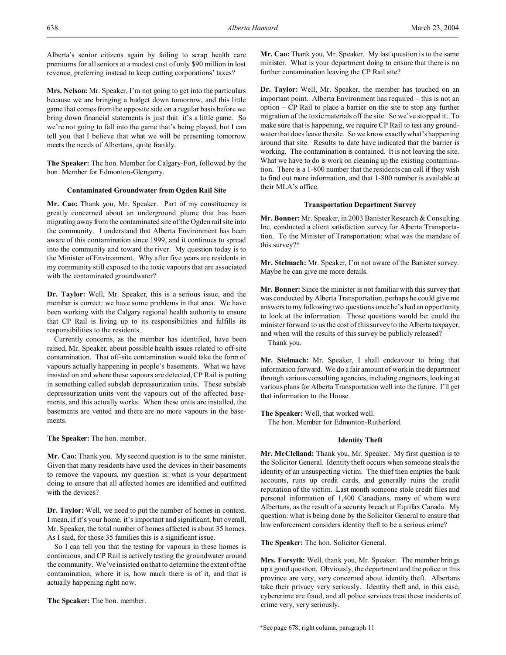Alberta's senior citizens again by failing to scrap health care premiums for all seniors at a modest cost of only \$90 million in lost revenue, preferring instead to keep cutting corporations' taxes?

**Mrs. Nelson:** Mr. Speaker, I'm not going to get into the particulars because we are bringing a budget down tomorrow, and this little game that comes from the opposite side on a regular basis before we bring down financial statements is just that: it's a little game. So we're not going to fall into the game that's being played, but I can tell you that I believe that what we will be presenting tomorrow meets the needs of Albertans, quite frankly.

**The Speaker:** The hon. Member for Calgary-Fort, followed by the hon. Member for Edmonton-Glengarry.

### **Contaminated Groundwater from Ogden Rail Site**

**Mr. Cao:** Thank you, Mr. Speaker. Part of my constituency is greatly concerned about an underground plume that has been migrating away from the contaminated site of the Ogden rail site into the community. I understand that Alberta Environment has been aware of this contamination since 1999, and it continues to spread into the community and toward the river. My question today is to the Minister of Environment. Why after five years are residents in my community still exposed to the toxic vapours that are associated with the contaminated groundwater?

**Dr. Taylor:** Well, Mr. Speaker, this is a serious issue, and the member is correct: we have some problems in that area. We have been working with the Calgary regional health authority to ensure that CP Rail is living up to its responsibilities and fulfills its responsibilities to the residents.

Currently concerns, as the member has identified, have been raised, Mr. Speaker, about possible health issues related to off-site contamination. That off-site contamination would take the form of vapours actually happening in people's basements. What we have insisted on and where these vapours are detected, CP Rail is putting in something called subslab depressurization units. These subslab depressurization units vent the vapours out of the affected basements, and this actually works. When these units are installed, the basements are vented and there are no more vapours in the basements.

**The Speaker:** The hon. member.

**Mr. Cao:** Thank you. My second question is to the same minister. Given that many residents have used the devices in their basements to remove the vapours, my question is: what is your department doing to ensure that all affected homes are identified and outfitted with the devices?

**Dr. Taylor:** Well, we need to put the number of homes in context. I mean, if it's your home, it's important and significant, but overall, Mr. Speaker, the total number of homes affected is about 35 homes. As I said, for those 35 families this is a significant issue.

So I can tell you that the testing for vapours in these homes is continuous, and CP Rail is actively testing the groundwater around the community. We've insisted on that to determine the extent of the contamination, where it is, how much there is of it, and that is actually happening right now.

**The Speaker:** The hon. member.

**Mr. Cao:** Thank you, Mr. Speaker. My last question is to the same minister. What is your department doing to ensure that there is no further contamination leaving the CP Rail site?

**Dr. Taylor:** Well, Mr. Speaker, the member has touched on an important point. Alberta Environment has required – this is not an option – CP Rail to place a barrier on the site to stop any further migration of the toxic materials off the site. So we've stopped it. To make sure that is happening, we require CP Rail to test any groundwater that does leave the site. So we know exactly what's happening around that site. Results to date have indicated that the barrier is working. The contamination is contained. It is not leaving the site. What we have to do is work on cleaning up the existing contamination. There is a 1-800 number that the residents can call if they wish to find out more information, and that 1-800 number is available at their MLA's office.

#### **Transportation Department Survey**

**Mr. Bonner:** Mr. Speaker, in 2003 Banister Research & Consulting Inc. conducted a client satisfaction survey for Alberta Transportation. To the Minister of Transportation: what was the mandate of this survey?\*

**Mr. Stelmach:** Mr. Speaker, I'm not aware of the Banister survey. Maybe he can give me more details.

**Mr. Bonner:** Since the minister is not familiar with this survey that was conducted by Alberta Transportation, perhaps he could give me answers to my following two questions once he's had an opportunity to look at the information. Those questions would be: could the minister forward to us the cost of this survey to the Alberta taxpayer, and when will the results of this survey be publicly released?

Thank you.

**Mr. Stelmach:** Mr. Speaker, I shall endeavour to bring that information forward. We do a fair amount of work in the department through various consulting agencies, including engineers, looking at various plans for Alberta Transportation well into the future. I'll get that information to the House.

**The Speaker:** Well, that worked well.

The hon. Member for Edmonton-Rutherford.

# **Identity Theft**

**Mr. McClelland:** Thank you, Mr. Speaker. My first question is to the Solicitor General. Identity theft occurs when someone steals the identity of an unsuspecting victim. The thief then empties the bank accounts, runs up credit cards, and generally ruins the credit reputation of the victim. Last month someone stole credit files and personal information of 1,400 Canadians, many of whom were Albertans, as the result of a security breach at Equifax Canada. My question: what is being done by the Solicitor General to ensure that law enforcement considers identity theft to be a serious crime?

**The Speaker:** The hon. Solicitor General.

**Mrs. Forsyth:** Well, thank you, Mr. Speaker. The member brings up a good question. Obviously, the department and the police in this province are very, very concerned about identity theft. Albertans take their privacy very seriously. Identity theft and, in this case, cybercrime are fraud, and all police services treat these incidents of crime very, very seriously.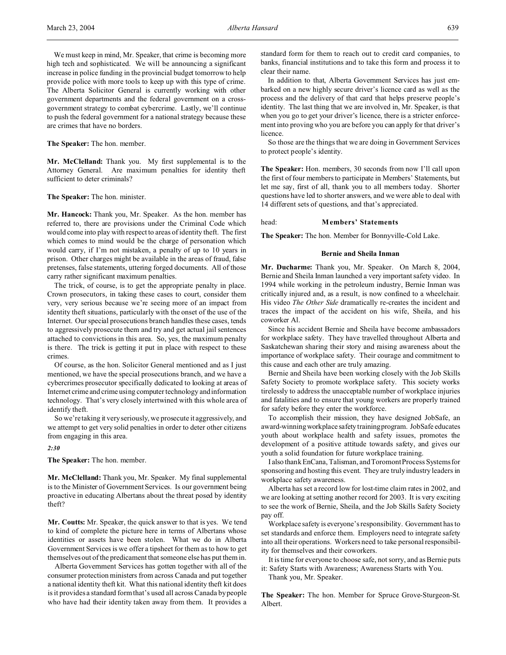We must keep in mind, Mr. Speaker, that crime is becoming more high tech and sophisticated. We will be announcing a significant increase in police funding in the provincial budget tomorrow to help provide police with more tools to keep up with this type of crime. The Alberta Solicitor General is currently working with other government departments and the federal government on a crossgovernment strategy to combat cybercrime. Lastly, we'll continue to push the federal government for a national strategy because these are crimes that have no borders.

**The Speaker:** The hon. member.

**Mr. McClelland:** Thank you. My first supplemental is to the Attorney General. Are maximum penalties for identity theft sufficient to deter criminals?

**The Speaker:** The hon. minister.

**Mr. Hancock:** Thank you, Mr. Speaker. As the hon. member has referred to, there are provisions under the Criminal Code which would come into play with respect to areas of identity theft. The first which comes to mind would be the charge of personation which would carry, if I'm not mistaken, a penalty of up to 10 years in prison. Other charges might be available in the areas of fraud, false pretenses, false statements, uttering forged documents. All of those carry rather significant maximum penalties.

The trick, of course, is to get the appropriate penalty in place. Crown prosecutors, in taking these cases to court, consider them very, very serious because we're seeing more of an impact from identity theft situations, particularly with the onset of the use of the Internet. Our special prosecutions branch handles these cases, tends to aggressively prosecute them and try and get actual jail sentences attached to convictions in this area. So, yes, the maximum penalty is there. The trick is getting it put in place with respect to these crimes.

Of course, as the hon. Solicitor General mentioned and as I just mentioned, we have the special prosecutions branch, and we have a cybercrimes prosecutor specifically dedicated to looking at areas of Internet crime and crime using computer technology and information technology. That's very closely intertwined with this whole area of identify theft.

So we're taking it very seriously, we prosecute it aggressively, and we attempt to get very solid penalties in order to deter other citizens from engaging in this area.

*2:30*

**The Speaker:** The hon. member.

**Mr. McClelland:** Thank you, Mr. Speaker. My final supplemental is to the Minister of Government Services. Is our government being proactive in educating Albertans about the threat posed by identity theft?

**Mr. Coutts:** Mr. Speaker, the quick answer to that is yes. We tend to kind of complete the picture here in terms of Albertans whose identities or assets have been stolen. What we do in Alberta Government Services is we offer a tipsheet for them as to how to get themselves out of the predicament that someone else has put them in.

Alberta Government Services has gotten together with all of the consumer protection ministers from across Canada and put together a national identity theft kit. What this national identity theft kit does is it provides a standard form that's used all across Canada by people who have had their identity taken away from them. It provides a

standard form for them to reach out to credit card companies, to banks, financial institutions and to take this form and process it to clear their name.

In addition to that, Alberta Government Services has just embarked on a new highly secure driver's licence card as well as the process and the delivery of that card that helps preserve people's identity. The last thing that we are involved in, Mr. Speaker, is that when you go to get your driver's licence, there is a stricter enforcement into proving who you are before you can apply for that driver's licence.

So those are the things that we are doing in Government Services to protect people's identity.

**The Speaker:** Hon. members, 30 seconds from now I'll call upon the first of four members to participate in Members' Statements, but let me say, first of all, thank you to all members today. Shorter questions have led to shorter answers, and we were able to deal with 14 different sets of questions, and that's appreciated.

#### head: **Members' Statements**

**The Speaker:** The hon. Member for Bonnyville-Cold Lake.

#### **Bernie and Sheila Inman**

**Mr. Ducharme:** Thank you, Mr. Speaker. On March 8, 2004, Bernie and Sheila Inman launched a very important safety video. In 1994 while working in the petroleum industry, Bernie Inman was critically injured and, as a result, is now confined to a wheelchair. His video *The Other Side* dramatically re-creates the incident and traces the impact of the accident on his wife, Sheila, and his coworker Al.

Since his accident Bernie and Sheila have become ambassadors for workplace safety. They have travelled throughout Alberta and Saskatchewan sharing their story and raising awareness about the importance of workplace safety. Their courage and commitment to this cause and each other are truly amazing.

Bernie and Sheila have been working closely with the Job Skills Safety Society to promote workplace safety. This society works tirelessly to address the unacceptable number of workplace injuries and fatalities and to ensure that young workers are properly trained for safety before they enter the workforce.

To accomplish their mission, they have designed JobSafe, an award-winning workplace safety trainingprogram. JobSafe educates youth about workplace health and safety issues, promotes the development of a positive attitude towards safety, and gives our youth a solid foundation for future workplace training.

I also thank EnCana, Talisman, and Toromont Process Systems for sponsoring and hosting this event. They are truly industry leaders in workplace safety awareness.

Alberta has set a record low for lost-time claim rates in 2002, and we are looking at setting another record for 2003. It is very exciting to see the work of Bernie, Sheila, and the Job Skills Safety Society pay off.

Workplace safety is everyone's responsibility. Government has to set standards and enforce them. Employers need to integrate safety into all their operations. Workers need to take personal responsibility for themselves and their coworkers.

It is time for everyone to choose safe, not sorry, and as Bernie puts it: Safety Starts with Awareness; Awareness Starts with You.

Thank you, Mr. Speaker.

**The Speaker:** The hon. Member for Spruce Grove-Sturgeon-St. Albert.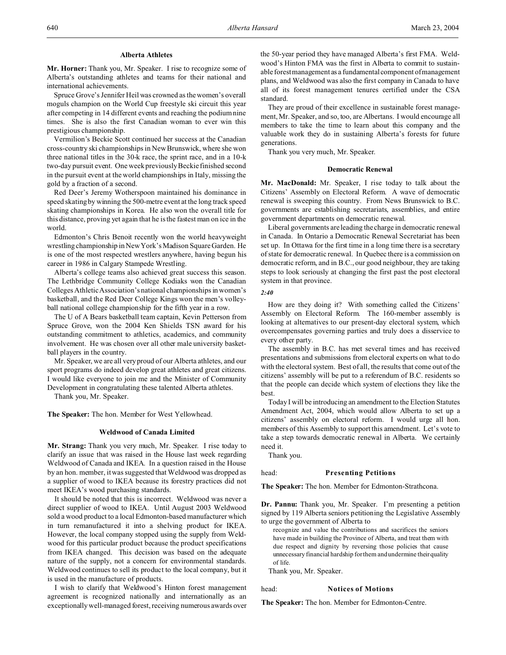#### **Alberta Athletes**

**Mr. Horner:** Thank you, Mr. Speaker. I rise to recognize some of Alberta's outstanding athletes and teams for their national and international achievements.

Spruce Grove's Jennifer Heil was crowned as the women's overall moguls champion on the World Cup freestyle ski circuit this year after competing in 14 different events and reaching the podium nine times. She is also the first Canadian woman to ever win this prestigious championship.

Vermilion's Beckie Scott continued her success at the Canadian cross-country ski championships in New Brunswick, where she won three national titles in the 30-k race, the sprint race, and in a 10-k two-day pursuit event. One week previously Beckie finished second in the pursuit event at the world championships in Italy, missing the gold by a fraction of a second.

Red Deer's Jeremy Wotherspoon maintained his dominance in speed skating by winning the 500-metre event at the long track speed skating championships in Korea. He also won the overall title for this distance, proving yet again that he is the fastest man on ice in the world.

Edmonton's Chris Benoit recently won the world heavyweight wrestling championship in New York's Madison Square Garden. He is one of the most respected wrestlers anywhere, having begun his career in 1986 in Calgary Stampede Wrestling.

Alberta's college teams also achieved great success this season. The Lethbridge Community College Kodiaks won the Canadian Colleges Athletic Association's national championships in women's basketball, and the Red Deer College Kings won the men's volleyball national college championship for the fifth year in a row.

The U of A Bears basketball team captain, Kevin Petterson from Spruce Grove, won the 2004 Ken Shields TSN award for his outstanding commitment to athletics, academics, and community involvement. He was chosen over all other male university basketball players in the country.

Mr. Speaker, we are all very proud of our Alberta athletes, and our sport programs do indeed develop great athletes and great citizens. I would like everyone to join me and the Minister of Community Development in congratulating these talented Alberta athletes.

Thank you, Mr. Speaker.

**The Speaker:** The hon. Member for West Yellowhead.

#### **Weldwood of Canada Limited**

**Mr. Strang:** Thank you very much, Mr. Speaker. I rise today to clarify an issue that was raised in the House last week regarding Weldwood of Canada and IKEA. In a question raised in the House by an hon. member, it was suggested that Weldwood was dropped as a supplier of wood to IKEA because its forestry practices did not meet IKEA's wood purchasing standards.

It should be noted that this is incorrect. Weldwood was never a direct supplier of wood to IKEA. Until August 2003 Weldwood sold a wood product to a local Edmonton-based manufacturer which in turn remanufactured it into a shelving product for IKEA. However, the local company stopped using the supply from Weldwood for this particular product because the product specifications from IKEA changed. This decision was based on the adequate nature of the supply, not a concern for environmental standards. Weldwood continues to sell its product to the local company, but it is used in the manufacture of products.

I wish to clarify that Weldwood's Hinton forest management agreement is recognized nationally and internationally as an exceptionally well-managed forest, receiving numerous awards over the 50-year period they have managed Alberta's first FMA. Weldwood's Hinton FMA was the first in Alberta to commit to sustainable forest management as a fundamental component of management plans, and Weldwood was also the first company in Canada to have all of its forest management tenures certified under the CSA standard.

They are proud of their excellence in sustainable forest management, Mr. Speaker, and so, too, are Albertans. I would encourage all members to take the time to learn about this company and the valuable work they do in sustaining Alberta's forests for future generations.

Thank you very much, Mr. Speaker.

#### **Democratic Renewal**

**Mr. MacDonald:** Mr. Speaker, I rise today to talk about the Citizens' Assembly on Electoral Reform. A wave of democratic renewal is sweeping this country. From News Brunswick to B.C. governments are establishing secretariats, assemblies, and entire government departments on democratic renewal.

Liberal governments are leading the charge in democratic renewal in Canada. In Ontario a Democratic Renewal Secretariat has been set up. In Ottawa for the first time in a long time there is a secretary of state for democratic renewal. In Quebec there is a commission on democratic reform, and in B.C., our good neighbour, they are taking steps to look seriously at changing the first past the post electoral system in that province.

*2:40*

How are they doing it? With something called the Citizens' Assembly on Electoral Reform. The 160-member assembly is looking at alternatives to our present-day electoral system, which overcompensates governing parties and truly does a disservice to every other party.

The assembly in B.C. has met several times and has received presentations and submissions from electoral experts on what to do with the electoral system. Best of all, the results that come out of the citizens' assembly will be put to a referendum of B.C. residents so that the people can decide which system of elections they like the best.

Today I will be introducing an amendment to the Election Statutes Amendment Act, 2004, which would allow Alberta to set up a citizens' assembly on electoral reform. I would urge all hon. members of this Assembly to support this amendment. Let's vote to take a step towards democratic renewal in Alberta. We certainly need it.

Thank you.

#### head: **Presenting Petitions**

**The Speaker:** The hon. Member for Edmonton-Strathcona.

**Dr. Pannu:** Thank you, Mr. Speaker. I'm presenting a petition signed by 119 Alberta seniors petitioning the Legislative Assembly to urge the government of Alberta to

recognize and value the contributions and sacrifices the seniors have made in building the Province of Alberta, and treat them with due respect and dignity by reversing those policies that cause unnecessary financial hardship for them and undermine their quality of life.

Thank you, Mr. Speaker.

#### head: **Notices of Motions**

**The Speaker:** The hon. Member for Edmonton-Centre.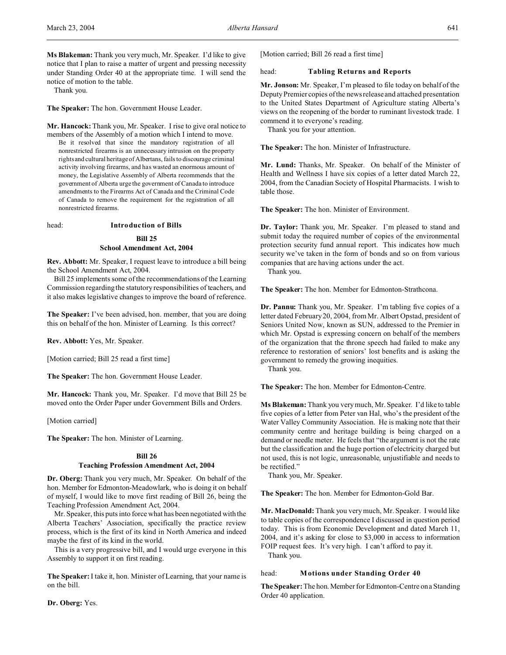**Ms Blakeman:** Thank you very much, Mr. Speaker. I'd like to give notice that I plan to raise a matter of urgent and pressing necessity under Standing Order 40 at the appropriate time. I will send the notice of motion to the table.

Thank you.

**The Speaker:** The hon. Government House Leader.

**Mr. Hancock:** Thank you, Mr. Speaker. I rise to give oral notice to members of the Assembly of a motion which I intend to move.

Be it resolved that since the mandatory registration of all nonrestricted firearms is an unnecessary intrusion on the property rights and cultural heritage of Albertans, fails to discourage criminal activity involving firearms, and has wasted an enormous amount of money, the Legislative Assembly of Alberta recommends that the government of Alberta urge the government of Canada to introduce amendments to the Firearms Act of Canada and the Criminal Code of Canada to remove the requirement for the registration of all nonrestricted firearms.

#### head: **Introduction of Bills**

#### **Bill 25**

#### **School Amendment Act, 2004**

**Rev. Abbott:** Mr. Speaker, I request leave to introduce a bill being the School Amendment Act, 2004.

Bill 25 implements some of the recommendations of the Learning Commission regarding the statutory responsibilities of teachers, and it also makes legislative changes to improve the board of reference.

**The Speaker:** I've been advised, hon. member, that you are doing this on behalf of the hon. Minister of Learning. Is this correct?

**Rev. Abbott:** Yes, Mr. Speaker.

[Motion carried; Bill 25 read a first time]

**The Speaker:** The hon. Government House Leader.

**Mr. Hancock:** Thank you, Mr. Speaker. I'd move that Bill 25 be moved onto the Order Paper under Government Bills and Orders.

[Motion carried]

**The Speaker:** The hon. Minister of Learning.

#### **Bill 26**

#### **Teaching Profession Amendment Act, 2004**

**Dr. Oberg:** Thank you very much, Mr. Speaker. On behalf of the hon. Member for Edmonton-Meadowlark, who is doing it on behalf of myself, I would like to move first reading of Bill 26, being the Teaching Profession Amendment Act, 2004.

Mr. Speaker, this puts into force what has been negotiated with the Alberta Teachers' Association, specifically the practice review process, which is the first of its kind in North America and indeed maybe the first of its kind in the world.

This is a very progressive bill, and I would urge everyone in this Assembly to support it on first reading.

**The Speaker:**I take it, hon. Minister of Learning, that your name is on the bill.

**Dr. Oberg:** Yes.

[Motion carried; Bill 26 read a first time]

#### head: **Tabling Returns and Reports**

**Mr. Jonson:** Mr. Speaker, I'm pleased to file today on behalf of the Deputy Premier copies of the news release and attached presentation to the United States Department of Agriculture stating Alberta's views on the reopening of the border to ruminant livestock trade. I commend it to everyone's reading.

Thank you for your attention.

**The Speaker:** The hon. Minister of Infrastructure.

**Mr. Lund:** Thanks, Mr. Speaker. On behalf of the Minister of Health and Wellness I have six copies of a letter dated March 22, 2004, from the Canadian Society of Hospital Pharmacists. I wish to table those.

**The Speaker:** The hon. Minister of Environment.

**Dr. Taylor:** Thank you, Mr. Speaker. I'm pleased to stand and submit today the required number of copies of the environmental protection security fund annual report. This indicates how much security we've taken in the form of bonds and so on from various companies that are having actions under the act.

Thank you.

**The Speaker:** The hon. Member for Edmonton-Strathcona.

**Dr. Pannu:** Thank you, Mr. Speaker. I'm tabling five copies of a letter dated February 20, 2004, from Mr. Albert Opstad, president of Seniors United Now, known as SUN, addressed to the Premier in which Mr. Opstad is expressing concern on behalf of the members of the organization that the throne speech had failed to make any reference to restoration of seniors' lost benefits and is asking the government to remedy the growing inequities.

Thank you.

**The Speaker:** The hon. Member for Edmonton-Centre.

**Ms Blakeman:** Thank you very much, Mr. Speaker. I'd like to table five copies of a letter from Peter van Hal, who's the president of the Water Valley Community Association. He is making note that their community centre and heritage building is being charged on a demand or needle meter. He feels that "the argument is not the rate but the classification and the huge portion of electricity charged but not used, this is not logic, unreasonable, unjustifiable and needs to be rectified."

Thank you, Mr. Speaker.

**The Speaker:** The hon. Member for Edmonton-Gold Bar.

**Mr. MacDonald:** Thank you very much, Mr. Speaker. I would like to table copies of the correspondence I discussed in question period today. This is from Economic Development and dated March 11, 2004, and it's asking for close to \$3,000 in access to information FOIP request fees. It's very high. I can't afford to pay it.

Thank you.

#### head: **Motions under Standing Order 40**

The Speaker: The hon. Member for Edmonton-Centre on a Standing Order 40 application.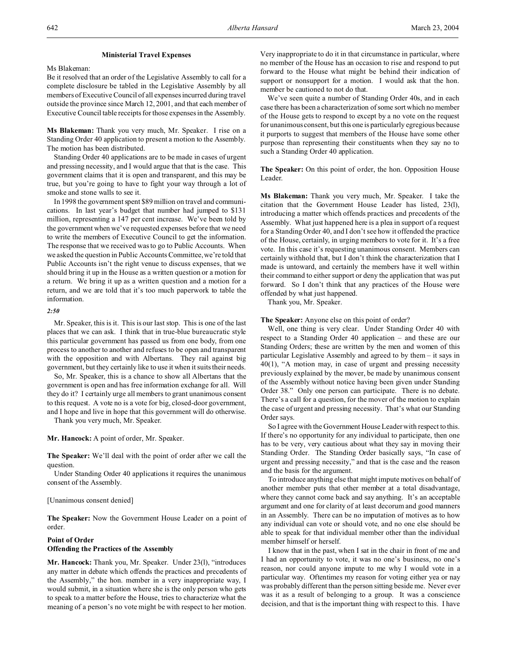#### **Ministerial Travel Expenses**

Ms Blakeman:

Be it resolved that an order of the Legislative Assembly to call for a complete disclosure be tabled in the Legislative Assembly by all members of Executive Council of all expenses incurred during travel outside the province since March 12, 2001, and that each member of Executive Council table receipts for those expenses in the Assembly.

**Ms Blakeman:** Thank you very much, Mr. Speaker. I rise on a Standing Order 40 application to present a motion to the Assembly. The motion has been distributed.

Standing Order 40 applications are to be made in cases of urgent and pressing necessity, and I would argue that that is the case. This government claims that it is open and transparent, and this may be true, but you're going to have to fight your way through a lot of smoke and stone walls to see it.

In 1998 the government spent \$89 million on travel and communications. In last year's budget that number had jumped to \$131 million, representing a 147 per cent increase. We've been told by the government when we've requested expenses before that we need to write the members of Executive Council to get the information. The response that we received was to go to Public Accounts. When we asked the question in Public Accounts Committee, we're told that Public Accounts isn't the right venue to discuss expenses, that we should bring it up in the House as a written question or a motion for a return. We bring it up as a written question and a motion for a return, and we are told that it's too much paperwork to table the information.

#### *2:50*

Mr. Speaker, this is it. This is our last stop. This is one of the last places that we can ask. I think that in true-blue bureaucratic style this particular government has passed us from one body, from one process to another to another and refuses to be open and transparent with the opposition and with Albertans. They rail against big government, but they certainly like to use it when it suits their needs.

So, Mr. Speaker, this is a chance to show all Albertans that the government is open and has free information exchange for all. Will they do it? I certainly urge all members to grant unanimous consent to this request. A vote no is a vote for big, closed-door government, and I hope and live in hope that this government will do otherwise.

Thank you very much, Mr. Speaker.

**Mr. Hancock:** A point of order, Mr. Speaker.

**The Speaker:** We'll deal with the point of order after we call the question.

Under Standing Order 40 applications it requires the unanimous consent of the Assembly.

#### [Unanimous consent denied]

**The Speaker:** Now the Government House Leader on a point of order.

### **Point of Order Offending the Practices of the Assembly**

**Mr. Hancock:** Thank you, Mr. Speaker. Under 23(l), "introduces any matter in debate which offends the practices and precedents of the Assembly," the hon. member in a very inappropriate way, I would submit, in a situation where she is the only person who gets to speak to a matter before the House, tries to characterize what the meaning of a person's no vote might be with respect to her motion.

Very inappropriate to do it in that circumstance in particular, where no member of the House has an occasion to rise and respond to put forward to the House what might be behind their indication of support or nonsupport for a motion. I would ask that the hon. member be cautioned to not do that.

We've seen quite a number of Standing Order 40s, and in each case there has been a characterization of some sort which no member of the House gets to respond to except by a no vote on the request for unanimous consent, but this one is particularly egregious because it purports to suggest that members of the House have some other purpose than representing their constituents when they say no to such a Standing Order 40 application.

**The Speaker:** On this point of order, the hon. Opposition House Leader.

**Ms Blakeman:** Thank you very much, Mr. Speaker. I take the citation that the Government House Leader has listed, 23(l), introducing a matter which offends practices and precedents of the Assembly. What just happened here is a plea in support of a request for a Standing Order 40, and I don't see how it offended the practice of the House, certainly, in urging members to vote for it. It's a free vote. In this case it's requesting unanimous consent. Members can certainly withhold that, but I don't think the characterization that I made is untoward, and certainly the members have it well within their command to either support or deny the application that was put forward. So I don't think that any practices of the House were offended by what just happened.

Thank you, Mr. Speaker.

#### **The Speaker:** Anyone else on this point of order?

Well, one thing is very clear. Under Standing Order 40 with respect to a Standing Order 40 application – and these are our Standing Orders; these are written by the men and women of this particular Legislative Assembly and agreed to by them – it says in 40(1), "A motion may, in case of urgent and pressing necessity previously explained by the mover, be made by unanimous consent of the Assembly without notice having been given under Standing Order 38." Only one person can participate. There is no debate. There's a call for a question, for the mover of the motion to explain the case of urgent and pressing necessity. That's what our Standing Order says.

So I agree with the Government House Leader with respect to this. If there's no opportunity for any individual to participate, then one has to be very, very cautious about what they say in moving their Standing Order. The Standing Order basically says, "In case of urgent and pressing necessity," and that is the case and the reason and the basis for the argument.

To introduce anything else that might impute motives on behalf of another member puts that other member at a total disadvantage, where they cannot come back and say anything. It's an acceptable argument and one for clarity of at least decorum and good manners in an Assembly. There can be no imputation of motives as to how any individual can vote or should vote, and no one else should be able to speak for that individual member other than the individual member himself or herself.

I know that in the past, when I sat in the chair in front of me and I had an opportunity to vote, it was no one's business, no one's reason, nor could anyone impute to me why I would vote in a particular way. Oftentimes my reason for voting either yea or nay was probably different than the person sitting beside me. Never ever was it as a result of belonging to a group. It was a conscience decision, and that is the important thing with respect to this. I have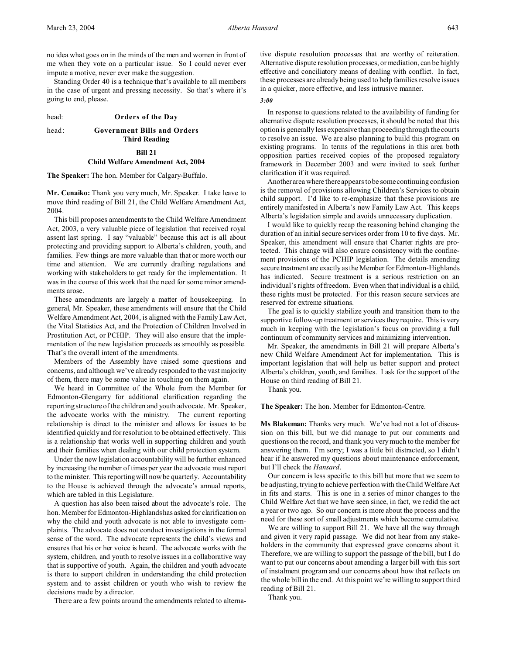no idea what goes on in the minds of the men and women in front of me when they vote on a particular issue. So I could never ever impute a motive, never ever make the suggestion.

Standing Order 40 is a technique that's available to all members in the case of urgent and pressing necessity. So that's where it's going to end, please.

#### head: **Orders of the Day**

# head: **Government Bills and Orders Third Reading**

#### **Bill 21**

#### **Child Welfare Amendment Act, 2004**

**The Speaker:** The hon. Member for Calgary-Buffalo.

**Mr. Cenaiko:** Thank you very much, Mr. Speaker. I take leave to move third reading of Bill 21, the Child Welfare Amendment Act, 2004.

This bill proposes amendments to the Child Welfare Amendment Act, 2003, a very valuable piece of legislation that received royal assent last spring. I say "valuable" because this act is all about protecting and providing support to Alberta's children, youth, and families. Few things are more valuable than that or more worth our time and attention. We are currently drafting regulations and working with stakeholders to get ready for the implementation. It was in the course of this work that the need for some minor amendments arose.

These amendments are largely a matter of housekeeping. In general, Mr. Speaker, these amendments will ensure that the Child Welfare Amendment Act, 2004, is aligned with the Family Law Act, the Vital Statistics Act, and the Protection of Children Involved in Prostitution Act, or PCHIP. They will also ensure that the implementation of the new legislation proceeds as smoothly as possible. That's the overall intent of the amendments.

Members of the Assembly have raised some questions and concerns, and although we've already responded to the vast majority of them, there may be some value in touching on them again.

We heard in Committee of the Whole from the Member for Edmonton-Glengarry for additional clarification regarding the reporting structure of the children and youth advocate. Mr. Speaker, the advocate works with the ministry. The current reporting relationship is direct to the minister and allows for issues to be identified quickly and for resolution to be obtained effectively. This is a relationship that works well in supporting children and youth and their families when dealing with our child protection system.

Under the new legislation accountability will be further enhanced by increasing the number of times per year the advocate must report to the minister. This reporting will now be quarterly. Accountability to the House is achieved through the advocate's annual reports, which are tabled in this Legislature.

A question has also been raised about the advocate's role. The hon. Member for Edmonton-Highlands has asked for clarification on why the child and youth advocate is not able to investigate complaints. The advocate does not conduct investigations in the formal sense of the word. The advocate represents the child's views and ensures that his or her voice is heard. The advocate works with the system, children, and youth to resolve issues in a collaborative way that is supportive of youth. Again, the children and youth advocate is there to support children in understanding the child protection system and to assist children or youth who wish to review the decisions made by a director.

There are a few points around the amendments related to alterna-

tive dispute resolution processes that are worthy of reiteration. Alternative dispute resolution processes, or mediation, can be highly effective and conciliatory means of dealing with conflict. In fact, these processes are already being used to help families resolve issues in a quicker, more effective, and less intrusive manner.

#### *3:00*

In response to questions related to the availability of funding for alternative dispute resolution processes, it should be noted that this option is generally less expensive than proceeding through the courts to resolve an issue. We are also planning to build this program on existing programs. In terms of the regulations in this area both opposition parties received copies of the proposed regulatory framework in December 2003 and were invited to seek further clarification if it was required.

Another area where there appears to be some continuing confusion is the removal of provisions allowing Children's Services to obtain child support. I'd like to re-emphasize that these provisions are entirely manifested in Alberta's new Family Law Act. This keeps Alberta's legislation simple and avoids unnecessary duplication.

I would like to quickly recap the reasoning behind changing the duration of an initial secure services order from 10 to five days. Mr. Speaker, this amendment will ensure that Charter rights are protected. This change will also ensure consistency with the confinement provisions of the PCHIP legislation. The details amending secure treatment are exactly as the Member for Edmonton-Highlands has indicated. Secure treatment is a serious restriction on an individual's rights of freedom. Even when that individual is a child, these rights must be protected. For this reason secure services are reserved for extreme situations.

The goal is to quickly stabilize youth and transition them to the supportive follow-up treatment or services they require. This is very much in keeping with the legislation's focus on providing a full continuum of community services and minimizing intervention.

Mr. Speaker, the amendments in Bill 21 will prepare Alberta's new Child Welfare Amendment Act for implementation. This is important legislation that will help us better support and protect Alberta's children, youth, and families. I ask for the support of the House on third reading of Bill 21.

Thank you.

**The Speaker:** The hon. Member for Edmonton-Centre.

**Ms Blakeman:** Thanks very much. We've had not a lot of discussion on this bill, but we did manage to put our comments and questions on the record, and thank you very much to the member for answering them. I'm sorry; I was a little bit distracted, so I didn't hear if he answered my questions about maintenance enforcement, but I'll check the *Hansard*.

Our concern is less specific to this bill but more that we seem to be adjusting, trying to achieve perfection with the Child Welfare Act in fits and starts. This is one in a series of minor changes to the Child Welfare Act that we have seen since, in fact, we redid the act a year or two ago. So our concern is more about the process and the need for these sort of small adjustments which become cumulative.

We are willing to support Bill 21. We have all the way through and given it very rapid passage. We did not hear from any stakeholders in the community that expressed grave concerns about it. Therefore, we are willing to support the passage of the bill, but I do want to put our concerns about amending a larger bill with this sort of instalment program and our concerns about how that reflects on the whole bill in the end. At this point we're willing to support third reading of Bill 21.

Thank you.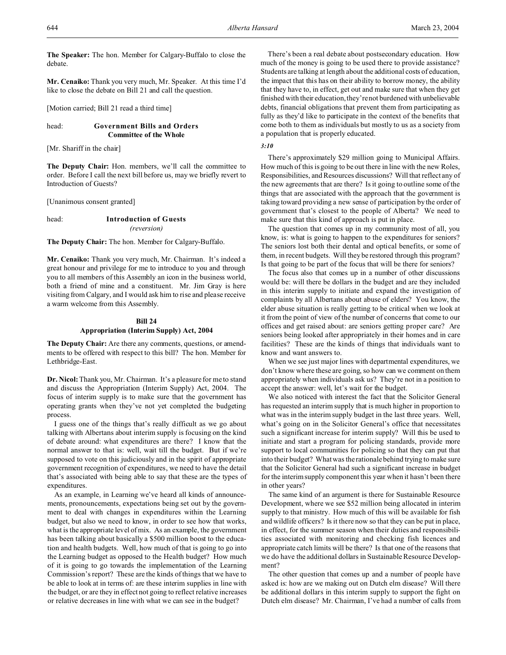**The Speaker:** The hon. Member for Calgary-Buffalo to close the debate.

**Mr. Cenaiko:** Thank you very much, Mr. Speaker. At this time I'd like to close the debate on Bill 21 and call the question.

[Motion carried; Bill 21 read a third time]

# head: **Government Bills and Orders Committee of the Whole**

[Mr. Shariff in the chair]

**The Deputy Chair:** Hon. members, we'll call the committee to order. Before I call the next bill before us, may we briefly revert to Introduction of Guests?

[Unanimous consent granted]

# head: **Introduction of Guests** *(reversion)*

**The Deputy Chair:** The hon. Member for Calgary-Buffalo.

**Mr. Cenaiko:** Thank you very much, Mr. Chairman. It's indeed a great honour and privilege for me to introduce to you and through you to all members of this Assembly an icon in the business world, both a friend of mine and a constituent. Mr. Jim Gray is here visiting from Calgary, and I would ask him to rise and please receive a warm welcome from this Assembly.

# **Bill 24**

# **Appropriation (Interim Supply) Act, 2004**

**The Deputy Chair:** Are there any comments, questions, or amendments to be offered with respect to this bill? The hon. Member for Lethbridge-East.

**Dr. Nicol:** Thank you, Mr. Chairman. It's a pleasure for me to stand and discuss the Appropriation (Interim Supply) Act, 2004. The focus of interim supply is to make sure that the government has operating grants when they've not yet completed the budgeting process.

I guess one of the things that's really difficult as we go about talking with Albertans about interim supply is focusing on the kind of debate around: what expenditures are there? I know that the normal answer to that is: well, wait till the budget. But if we're supposed to vote on this judiciously and in the spirit of appropriate government recognition of expenditures, we need to have the detail that's associated with being able to say that these are the types of expenditures.

As an example, in Learning we've heard all kinds of announcements, pronouncements, expectations being set out by the government to deal with changes in expenditures within the Learning budget, but also we need to know, in order to see how that works, what is the appropriate level of mix. As an example, the government has been talking about basically a \$500 million boost to the education and health budgets. Well, how much of that is going to go into the Learning budget as opposed to the Health budget? How much of it is going to go towards the implementation of the Learning Commission's report? These are the kinds of things that we have to be able to look at in terms of: are these interim supplies in line with the budget, or are they in effect not going to reflect relative increases or relative decreases in line with what we can see in the budget?

There's been a real debate about postsecondary education. How much of the money is going to be used there to provide assistance? Students are talking at length about the additional costs of education, the impact that this has on their ability to borrow money, the ability that they have to, in effect, get out and make sure that when they get finished with their education, they're not burdened with unbelievable debts, financial obligations that prevent them from participating as fully as they'd like to participate in the context of the benefits that come both to them as individuals but mostly to us as a society from a population that is properly educated.

# *3:10*

There's approximately \$29 million going to Municipal Affairs. How much of this is going to be out there in line with the new Roles, Responsibilities, and Resources discussions? Will that reflect any of the new agreements that are there? Is it going to outline some of the things that are associated with the approach that the government is taking toward providing a new sense of participation by the order of government that's closest to the people of Alberta? We need to make sure that this kind of approach is put in place.

The question that comes up in my community most of all, you know, is: what is going to happen to the expenditures for seniors? The seniors lost both their dental and optical benefits, or some of them, in recent budgets. Will they be restored through this program? Is that going to be part of the focus that will be there for seniors?

The focus also that comes up in a number of other discussions would be: will there be dollars in the budget and are they included in this interim supply to initiate and expand the investigation of complaints by all Albertans about abuse of elders? You know, the elder abuse situation is really getting to be critical when we look at it from the point of view of the number of concerns that come to our offices and get raised about: are seniors getting proper care? Are seniors being looked after appropriately in their homes and in care facilities? These are the kinds of things that individuals want to know and want answers to.

When we see just major lines with departmental expenditures, we don't know where these are going, so how can we comment on them appropriately when individuals ask us? They're not in a position to accept the answer: well, let's wait for the budget.

We also noticed with interest the fact that the Solicitor General has requested an interim supply that is much higher in proportion to what was in the interim supply budget in the last three years. Well, what's going on in the Solicitor General's office that necessitates such a significant increase for interim supply? Will this be used to initiate and start a program for policing standards, provide more support to local communities for policing so that they can put that into their budget? What was the rationale behind trying to make sure that the Solicitor General had such a significant increase in budget for the interim supply component this year when it hasn't been there in other years?

The same kind of an argument is there for Sustainable Resource Development, where we see \$52 million being allocated in interim supply to that ministry. How much of this will be available for fish and wildlife officers? Is it there now so that they can be put in place, in effect, for the summer season when their duties and responsibilities associated with monitoring and checking fish licences and appropriate catch limits will be there? Is that one of the reasons that we do have the additional dollars in Sustainable Resource Development?

The other question that comes up and a number of people have asked is: how are we making out on Dutch elm disease? Will there be additional dollars in this interim supply to support the fight on Dutch elm disease? Mr. Chairman, I've had a number of calls from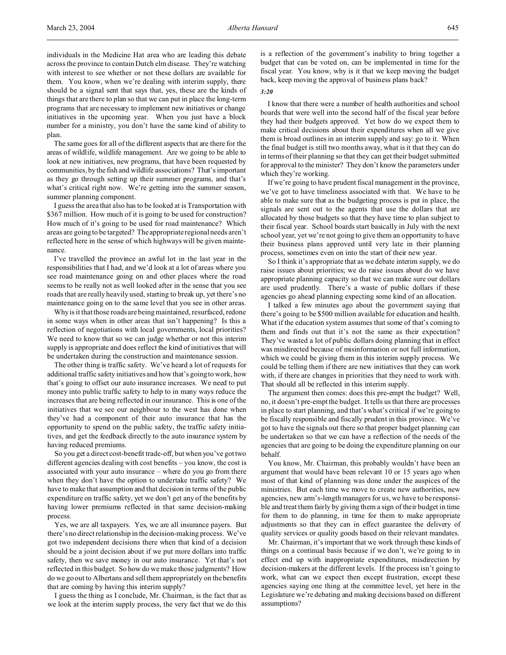individuals in the Medicine Hat area who are leading this debate across the province to contain Dutch elm disease. They're watching with interest to see whether or not these dollars are available for them. You know, when we're dealing with interim supply, there should be a signal sent that says that, yes, these are the kinds of things that are there to plan so that we can put in place the long-term programs that are necessary to implement new initiatives or change initiatives in the upcoming year. When you just have a block number for a ministry, you don't have the same kind of ability to plan.

The same goes for all of the different aspects that are there for the areas of wildlife, wildlife management. Are we going to be able to look at new initiatives, new programs, that have been requested by communities, by the fish and wildlife associations? That's important as they go through setting up their summer programs, and that's what's critical right now. We're getting into the summer season, summer planning component.

I guess the area that also has to be looked at is Transportation with \$367 million. How much of it is going to be used for construction? How much of it's going to be used for road maintenance? Which areas are going to be targeted? The appropriate regional needs aren't reflected here in the sense of which highways will be given maintenance.

I've travelled the province an awful lot in the last year in the responsibilities that I had, and we'd look at a lot of areas where you see road maintenance going on and other places where the road seems to be really not as well looked after in the sense that you see roads that are really heavily used, starting to break up, yet there's no maintenance going on to the same level that you see in other areas.

Why is it that those roads are being maintained, resurfaced, redone in some ways when in other areas that isn't happening? Is this a reflection of negotiations with local governments, local priorities? We need to know that so we can judge whether or not this interim supply is appropriate and does reflect the kind of initiatives that will be undertaken during the construction and maintenance session.

The other thing is traffic safety. We've heard a lot of requests for additional traffic safety initiatives and how that's going to work, how that's going to offset our auto insurance increases. We need to put money into public traffic safety to help to in many ways reduce the increases that are being reflected in our insurance. This is one of the initiatives that we see our neighbour to the west has done when they've had a component of their auto insurance that has the opportunity to spend on the public safety, the traffic safety initiatives, and get the feedback directly to the auto insurance system by having reduced premiums.

So you get a direct cost-benefit trade-off, but when you've got two different agencies dealing with cost benefits – you know, the cost is associated with your auto insurance – where do you go from there when they don't have the option to undertake traffic safety? We have to make that assumption and that decision in terms of the public expenditure on traffic safety, yet we don't get any of the benefits by having lower premiums reflected in that same decision-making process.

Yes, we are all taxpayers. Yes, we are all insurance payers. But there's no direct relationship in the decision-making process. We've got two independent decisions there when that kind of a decision should be a joint decision about if we put more dollars into traffic safety, then we save money in our auto insurance. Yet that's not reflected in this budget. So how do we make those judgments? How do we go out to Albertans and sell them appropriately on the benefits that are coming by having this interim supply?

I guess the thing as I conclude, Mr. Chairman, is the fact that as we look at the interim supply process, the very fact that we do this is a reflection of the government's inability to bring together a budget that can be voted on, can be implemented in time for the fiscal year. You know, why is it that we keep moving the budget back, keep moving the approval of business plans back?

#### *3:20*

I know that there were a number of health authorities and school boards that were well into the second half of the fiscal year before they had their budgets approved. Yet how do we expect them to make critical decisions about their expenditures when all we give them is broad outlines in an interim supply and say: go to it. When the final budget is still two months away, what is it that they can do in terms of their planning so that they can get their budget submitted for approval to the minister? They don't know the parameters under which they're working.

If we're going to have prudent fiscal management in the province, we've got to have timeliness associated with that. We have to be able to make sure that as the budgeting process is put in place, the signals are sent out to the agents that use the dollars that are allocated by those budgets so that they have time to plan subject to their fiscal year. School boards start basically in July with the next school year, yet we're not going to give them an opportunity to have their business plans approved until very late in their planning process, sometimes even on into the start of their new year.

So I think it's appropriate that as we debate interim supply, we do raise issues about priorities; we do raise issues about do we have appropriate planning capacity so that we can make sure our dollars are used prudently. There's a waste of public dollars if these agencies go ahead planning expecting some kind of an allocation.

I talked a few minutes ago about the government saying that there's going to be \$500 million available for education and health. What if the education system assumes that some of that's coming to them and finds out that it's not the same as their expectation? They've wasted a lot of public dollars doing planning that in effect was misdirected because of misinformation or not full information, which we could be giving them in this interim supply process. We could be telling them if there are new initiatives that they can work with, if there are changes in priorities that they need to work with. That should all be reflected in this interim supply.

The argument then comes: does this pre-empt the budget? Well, no, it doesn't pre-empt the budget. It tells us that there are processes in place to start planning, and that's what's critical if we're going to be fiscally responsible and fiscally prudent in this province. We've got to have the signals out there so that proper budget planning can be undertaken so that we can have a reflection of the needs of the agencies that are going to be doing the expenditure planning on our behalf.

You know, Mr. Chairman, this probably wouldn't have been an argument that would have been relevant 10 or 15 years ago when most of that kind of planning was done under the auspices of the ministries. But each time we move to create new authorities, new agencies, new arm's-length managers for us, we have to be responsible and treat them fairly by giving them a sign of their budget in time for them to do planning, in time for them to make appropriate adjustments so that they can in effect guarantee the delivery of quality services or quality goods based on their relevant mandates.

Mr. Chairman, it's important that we work through these kinds of things on a continual basis because if we don't, we're going to in effect end up with inappropriate expenditures, misdirection by decision-makers at the different levels. If the process isn't going to work, what can we expect then except frustration, except these agencies saying one thing at the committee level, yet here in the Legislature we're debating and making decisions based on different assumptions?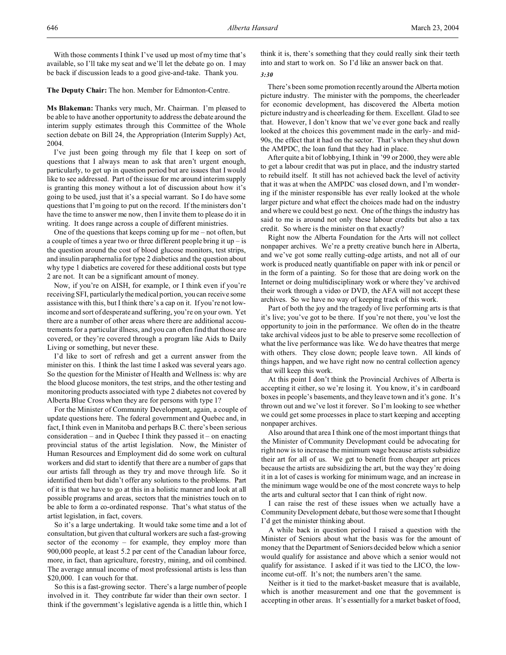646 *Alberta Hansard* March 23, 2004

With those comments I think I've used up most of my time that's available, so I'll take my seat and we'll let the debate go on. I may be back if discussion leads to a good give-and-take. Thank you.

**The Deputy Chair:** The hon. Member for Edmonton-Centre.

**Ms Blakeman:** Thanks very much, Mr. Chairman. I'm pleased to be able to have another opportunity to address the debate around the interim supply estimates through this Committee of the Whole section debate on Bill 24, the Appropriation (Interim Supply) Act, 2004.

I've just been going through my file that I keep on sort of questions that I always mean to ask that aren't urgent enough, particularly, to get up in question period but are issues that I would like to see addressed. Part of the issue for me around interim supply is granting this money without a lot of discussion about how it's going to be used, just that it's a special warrant. So I do have some questions that I'm going to put on the record. If the ministers don't have the time to answer me now, then I invite them to please do it in writing. It does range across a couple of different ministries.

One of the questions that keeps coming up for me – not often, but a couple of times a year two or three different people bring it  $up-$  is the question around the cost of blood glucose monitors, test strips, and insulin paraphernalia for type 2 diabetics and the question about why type 1 diabetics are covered for these additional costs but type 2 are not. It can be a significant amount of money.

Now, if you're on AISH, for example, or I think even if you're receiving SFI, particularly the medical portion, you can receive some assistance with this, but I think there's a cap on it. If you're not lowincome and sort of desperate and suffering, you're on your own. Yet there are a number of other areas where there are additional accoutrements for a particular illness, and you can often find that those are covered, or they're covered through a program like Aids to Daily Living or something, but never these.

I'd like to sort of refresh and get a current answer from the minister on this. I think the last time I asked was several years ago. So the question for the Minister of Health and Wellness is: why are the blood glucose monitors, the test strips, and the other testing and monitoring products associated with type 2 diabetes not covered by Alberta Blue Cross when they are for persons with type 1?

For the Minister of Community Development, again, a couple of update questions here. The federal government and Quebec and, in fact, I think even in Manitoba and perhaps B.C. there's been serious consideration – and in Quebec I think they passed it – on enacting provincial status of the artist legislation. Now, the Minister of Human Resources and Employment did do some work on cultural workers and did start to identify that there are a number of gaps that our artists fall through as they try and move through life. So it identified them but didn't offer any solutions to the problems. Part of it is that we have to go at this in a holistic manner and look at all possible programs and areas, sectors that the ministries touch on to be able to form a co-ordinated response. That's what status of the artist legislation, in fact, covers.

So it's a large undertaking. It would take some time and a lot of consultation, but given that cultural workers are such a fast-growing sector of the economy – for example, they employ more than 900,000 people, at least 5.2 per cent of the Canadian labour force, more, in fact, than agriculture, forestry, mining, and oil combined. The average annual income of most professional artists is less than \$20,000. I can vouch for that.

So this is a fast-growing sector. There's a large number of people involved in it. They contribute far wider than their own sector. I think if the government's legislative agenda is a little thin, which I

think it is, there's something that they could really sink their teeth into and start to work on. So I'd like an answer back on that.

# *3:30*

There's been some promotion recently around the Alberta motion picture industry. The minister with the pompoms, the cheerleader for economic development, has discovered the Alberta motion picture industry and is cheerleading for them. Excellent. Glad to see that. However, I don't know that we've ever gone back and really looked at the choices this government made in the early- and mid-90s, the effect that it had on the sector. That's when they shut down the AMPDC, the loan fund that they had in place.

After quite a bit of lobbying, I think in '99 or 2000, they were able to get a labour credit that was put in place, and the industry started to rebuild itself. It still has not achieved back the level of activity that it was at when the AMPDC was closed down, and I'm wondering if the minister responsible has ever really looked at the whole larger picture and what effect the choices made had on the industry and where we could best go next. One of the things the industry has said to me is around not only these labour credits but also a tax credit. So where is the minister on that exactly?

Right now the Alberta Foundation for the Arts will not collect nonpaper archives. We're a pretty creative bunch here in Alberta, and we've got some really cutting-edge artists, and not all of our work is produced neatly quantifiable on paper with ink or pencil or in the form of a painting. So for those that are doing work on the Internet or doing multidisciplinary work or where they've archived their work through a video or DVD, the AFA will not accept these archives. So we have no way of keeping track of this work.

Part of both the joy and the tragedy of live performing arts is that it's live; you've got to be there. If you're not there, you've lost the opportunity to join in the performance. We often do in the theatre take archival videos just to be able to preserve some recollection of what the live performance was like. We do have theatres that merge with others. They close down; people leave town. All kinds of things happen, and we have right now no central collection agency that will keep this work.

At this point I don't think the Provincial Archives of Alberta is accepting it either, so we're losing it. You know, it's in cardboard boxes in people's basements, and they leave town and it's gone. It's thrown out and we've lost it forever. So I'm looking to see whether we could get some processes in place to start keeping and accepting nonpaper archives.

Also around that area I think one of the most important things that the Minister of Community Development could be advocating for right now is to increase the minimum wage because artists subsidize their art for all of us. We get to benefit from cheaper art prices because the artists are subsidizing the art, but the way they're doing it in a lot of cases is working for minimum wage, and an increase in the minimum wage would be one of the most concrete ways to help the arts and cultural sector that I can think of right now.

I can raise the rest of these issues when we actually have a Community Development debate, but those were some that I thought I'd get the minister thinking about.

A while back in question period I raised a question with the Minister of Seniors about what the basis was for the amount of money that the Department of Seniors decided below which a senior would qualify for assistance and above which a senior would not qualify for assistance. I asked if it was tied to the LICO, the lowincome cut-off. It's not; the numbers aren't the same.

Neither is it tied to the market-basket measure that is available, which is another measurement and one that the government is accepting in other areas. It's essentially for a market basket of food,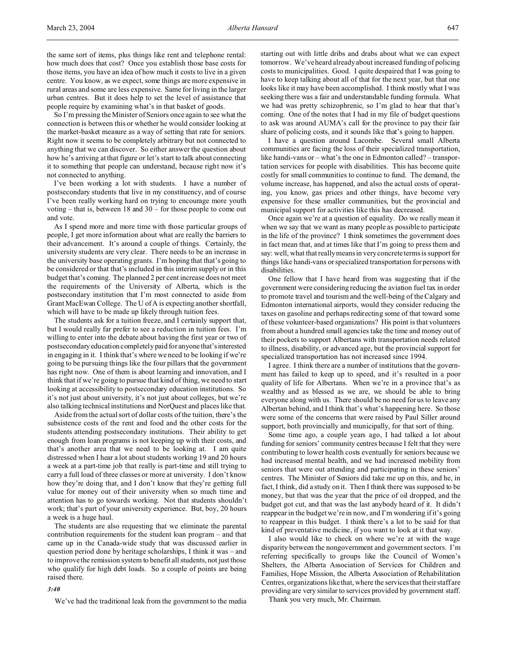So I'm pressing the Minister of Seniors once again to see what the connection is between this or whether he would consider looking at the market-basket measure as a way of setting that rate for seniors. Right now it seems to be completely arbitrary but not connected to anything that we can discover. So either answer the question about how he's arriving at that figure or let's start to talk about connecting it to something that people can understand, because right now it's not connected to anything.

I've been working a lot with students. I have a number of postsecondary students that live in my constituency, and of course I've been really working hard on trying to encourage more youth voting – that is, between 18 and 30 – for those people to come out and vote.

As I spend more and more time with those particular groups of people, I get more information about what are really the barriers to their advancement. It's around a couple of things. Certainly, the university students are very clear. There needs to be an increase in the university base operating grants. I'm hoping that that's going to be considered or that that's included in this interim supply or in this budget that's coming. The planned 2 per cent increase does not meet the requirements of the University of Alberta, which is the postsecondary institution that I'm most connected to aside from Grant MacEwan College. The U of A is expecting another shortfall, which will have to be made up likely through tuition fees.

The students ask for a tuition freeze, and I certainly support that, but I would really far prefer to see a reduction in tuition fees. I'm willing to enter into the debate about having the first year or two of postsecondary education completely paid for anyone that'sinterested in engaging in it. I think that's where we need to be looking if we're going to be pursuing things like the four pillars that the government has right now. One of them is about learning and innovation, and I think that if we're going to pursue that kind of thing, we need to start looking at accessibility to postsecondary education institutions. So it's not just about university, it's not just about colleges, but we're also talking technical institutions and NorQuest and places like that.

Aside from the actual sort of dollar costs of the tuition, there's the subsistence costs of the rent and food and the other costs for the students attending postsecondary institutions. Their ability to get enough from loan programs is not keeping up with their costs, and that's another area that we need to be looking at. I am quite distressed when I hear a lot about students working 19 and 20 hours a week at a part-time job that really is part-time and still trying to carry a full load of three classes or more at university. I don't know how they're doing that, and I don't know that they're getting full value for money out of their university when so much time and attention has to go towards working. Not that students shouldn't work; that's part of your university experience. But, boy, 20 hours a week is a huge haul.

The students are also requesting that we eliminate the parental contribution requirements for the student loan program – and that came up in the Canada-wide study that was discussed earlier in question period done by heritage scholarships, I think it was – and to improve the remission system to benefit all students, not just those who qualify for high debt loads. So a couple of points are being raised there.

starting out with little dribs and drabs about what we can expect tomorrow. We've heard already about increased funding of policing costs to municipalities. Good. I quite despaired that I was going to have to keep talking about all of that for the next year, but that one looks like it may have been accomplished. I think mostly what I was seeking there was a fair and understandable funding formula. What we had was pretty schizophrenic, so I'm glad to hear that that's coming. One of the notes that I had in my file of budget questions to ask was around AUMA's call for the province to pay their fair share of policing costs, and it sounds like that's going to happen.

I have a question around Lacombe. Several small Alberta communities are facing the loss of their specialized transportation, like handi-vans or – what's the one in Edmonton called? – transportation services for people with disabilities. This has become quite costly for small communities to continue to fund. The demand, the volume increase, has happened, and also the actual costs of operating, you know, gas prices and other things, have become very expensive for these smaller communities, but the provincial and municipal support for activities like this has decreased.

Once again we're at a question of equality. Do we really mean it when we say that we want as many people as possible to participate in the life of the province? I think sometimes the government does in fact mean that, and at times like that I'm going to press them and say: well, what that really means in very concrete terms is support for things like handi-vans or specialized transportation for persons with disabilities.

One fellow that I have heard from was suggesting that if the government were considering reducing the aviation fuel tax in order to promote travel and tourism and the well-being of the Calgary and Edmonton international airports, would they consider reducing the taxes on gasoline and perhaps redirecting some of that toward some of these volunteer-based organizations? His point is that volunteers from about a hundred small agencies take the time and money out of their pockets to support Albertans with transportation needs related to illness, disability, or advanced age, but the provincial support for specialized transportation has not increased since 1994.

I agree. I think there are a number of institutions that the government has failed to keep up to speed, and it's resulted in a poor quality of life for Albertans. When we're in a province that's as wealthy and as blessed as we are, we should be able to bring everyone along with us. There should be no need for us to leave any Albertan behind, and I think that's what's happening here. So those were some of the concerns that were raised by Paul Siller around support, both provincially and municipally, for that sort of thing.

Some time ago, a couple years ago, I had talked a lot about funding for seniors' community centres because I felt that they were contributing to lower health costs eventually for seniors because we had increased mental health, and we had increased mobility from seniors that were out attending and participating in these seniors' centres. The Minister of Seniors did take me up on this, and he, in fact, I think, did a study on it. Then I think there was supposed to be money, but that was the year that the price of oil dropped, and the budget got cut, and that was the last anybody heard of it. It didn't reappear in the budget we're in now, and I'm wondering if it's going to reappear in this budget. I think there's a lot to be said for that kind of preventative medicine, if you want to look at it that way.

I also would like to check on where we're at with the wage disparity between the nongovernment and government sectors. I'm referring specifically to groups like the Council of Women's Shelters, the Alberta Association of Services for Children and Families, Hope Mission, the Alberta Association of Rehabilitation Centres, organizations like that, where the services that their staff are providing are very similar to services provided by government staff.

Thank you very much, Mr. Chairman.

#### *3:40*

We've had the traditional leak from the government to the media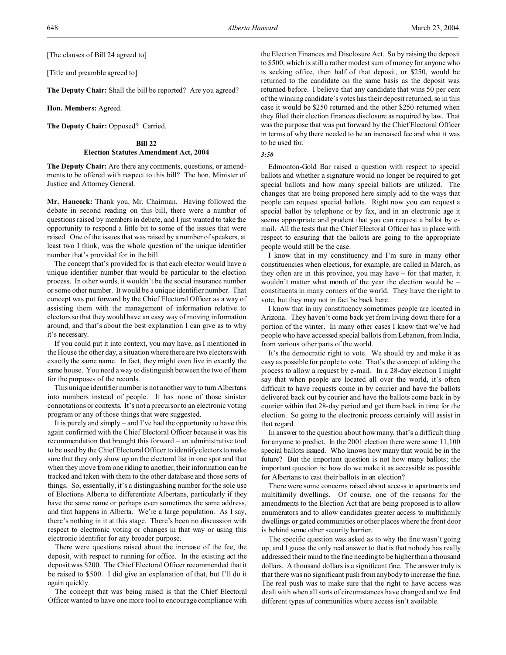[The clauses of Bill 24 agreed to]

[Title and preamble agreed to]

**The Deputy Chair:** Shall the bill be reported? Are you agreed?

**Hon. Members:** Agreed.

**The Deputy Chair:** Opposed? Carried.

#### **Bill 22**

# **Election Statutes Amendment Act, 2004**

**The Deputy Chair:** Are there any comments, questions, or amendments to be offered with respect to this bill? The hon. Minister of Justice and Attorney General.

**Mr. Hancock:** Thank you, Mr. Chairman. Having followed the debate in second reading on this bill, there were a number of questions raised by members in debate, and I just wanted to take the opportunity to respond a little bit to some of the issues that were raised. One of the issues that was raised by a number of speakers, at least two I think, was the whole question of the unique identifier number that's provided for in the bill.

The concept that's provided for is that each elector would have a unique identifier number that would be particular to the election process. In other words, it wouldn't be the social insurance number or some other number. It would be a unique identifier number. That concept was put forward by the Chief Electoral Officer as a way of assisting them with the management of information relative to electors so that they would have an easy way of moving information around, and that's about the best explanation I can give as to why it's necessary.

If you could put it into context, you may have, as I mentioned in the House the other day, a situation where there are two electors with exactly the same name. In fact, they might even live in exactly the same house. You need a way to distinguish between the two of them for the purposes of the records.

This unique identifier number is not another way to turn Albertans into numbers instead of people. It has none of those sinister connotations or contexts. It's not a precursor to an electronic voting program or any of those things that were suggested.

It is purely and simply – and I've had the opportunity to have this again confirmed with the Chief Electoral Officer because it was his recommendation that brought this forward – an administrative tool to be used by the Chief Electoral Officer to identify electors to make sure that they only show up on the electoral list in one spot and that when they move from one riding to another, their information can be tracked and taken with them to the other database and those sorts of things. So, essentially, it's a distinguishing number for the sole use of Elections Alberta to differentiate Albertans, particularly if they have the same name or perhaps even sometimes the same address, and that happens in Alberta. We're a large population. As I say, there's nothing in it at this stage. There's been no discussion with respect to electronic voting or changes in that way or using this electronic identifier for any broader purpose.

There were questions raised about the increase of the fee, the deposit, with respect to running for office. In the existing act the deposit was \$200. The Chief Electoral Officer recommended that it be raised to \$500. I did give an explanation of that, but I'll do it again quickly.

The concept that was being raised is that the Chief Electoral Officer wanted to have one more tool to encourage compliance with

the Election Finances and Disclosure Act. So by raising the deposit to \$500, which is still a rather modest sum of money for anyone who is seeking office, then half of that deposit, or \$250, would be returned to the candidate on the same basis as the deposit was returned before. I believe that any candidate that wins 50 per cent of the winning candidate's votes has their deposit returned, so in this case it would be \$250 returned and the other \$250 returned when they filed their election finances disclosure as required by law. That was the purpose that was put forward by the Chief Electoral Officer in terms of why there needed to be an increased fee and what it was to be used for.

#### *3:50*

Edmonton-Gold Bar raised a question with respect to special ballots and whether a signature would no longer be required to get special ballots and how many special ballots are utilized. The changes that are being proposed here simply add to the ways that people can request special ballots. Right now you can request a special ballot by telephone or by fax, and in an electronic age it seems appropriate and prudent that you can request a ballot by email. All the tests that the Chief Electoral Officer has in place with respect to ensuring that the ballots are going to the appropriate people would still be the case.

I know that in my constituency and I'm sure in many other constituencies when elections, for example, are called in March, as they often are in this province, you may have – for that matter, it wouldn't matter what month of the year the election would be – constituents in many corners of the world. They have the right to vote, but they may not in fact be back here.

I know that in my constituency sometimes people are located in Arizona. They haven't come back yet from living down there for a portion of the winter. In many other cases I know that we've had people who have accessed special ballots from Lebanon, from India, from various other parts of the world.

It's the democratic right to vote. We should try and make it as easy as possible for people to vote. That's the concept of adding the process to allow a request by e-mail. In a 28-day election I might say that when people are located all over the world, it's often difficult to have requests come in by courier and have the ballots delivered back out by courier and have the ballots come back in by courier within that 28-day period and get them back in time for the election. So going to the electronic process certainly will assist in that regard.

In answer to the question about how many, that's a difficult thing for anyone to predict. In the 2001 election there were some 11,100 special ballots issued. Who knows how many that would be in the future? But the important question is not how many ballots; the important question is: how do we make it as accessible as possible for Albertans to cast their ballots in an election?

There were some concerns raised about access to apartments and multifamily dwellings. Of course, one of the reasons for the amendments to the Election Act that are being proposed is to allow enumerators and to allow candidates greater access to multifamily dwellings or gated communities or other places where the front door is behind some other security barrier.

The specific question was asked as to why the fine wasn't going up, and I guess the only real answer to that is that nobody has really addressed their mind to the fine needing to be higher than a thousand dollars. A thousand dollars is a significant fine. The answer truly is that there was no significant push from anybody to increase the fine. The real push was to make sure that the right to have access was dealt with when all sorts of circumstances have changed and we find different types of communities where access isn't available.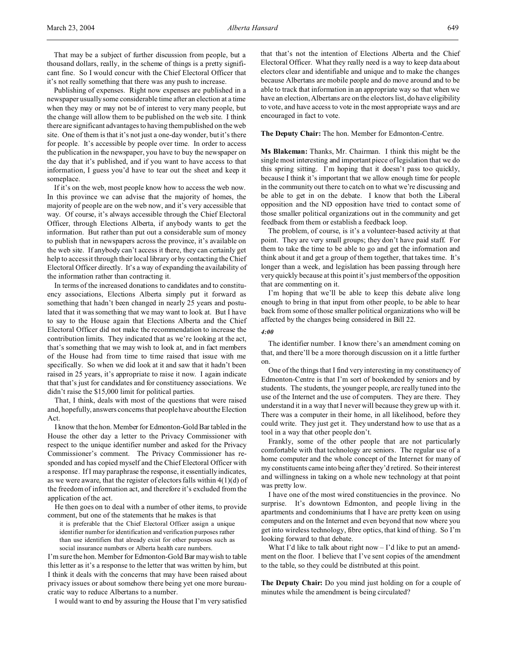Publishing of expenses. Right now expenses are published in a newspaper usually some considerable time after an election at a time when they may or may not be of interest to very many people, but the change will allow them to be published on the web site. I think there are significant advantages to having them published on the web site. One of them is that it's not just a one-day wonder, but it's there for people. It's accessible by people over time. In order to access the publication in the newspaper, you have to buy the newspaper on the day that it's published, and if you want to have access to that information, I guess you'd have to tear out the sheet and keep it someplace.

If it's on the web, most people know how to access the web now. In this province we can advise that the majority of homes, the majority of people are on the web now, and it's very accessible that way. Of course, it's always accessible through the Chief Electoral Officer, through Elections Alberta, if anybody wants to get the information. But rather than put out a considerable sum of money to publish that in newspapers across the province, it's available on the web site. If anybody can't access it there, they can certainly get help to access it through their local library or by contacting the Chief Electoral Officer directly. It's a way of expanding the availability of the information rather than contracting it.

In terms of the increased donations to candidates and to constituency associations, Elections Alberta simply put it forward as something that hadn't been changed in nearly 25 years and postulated that it was something that we may want to look at. But I have to say to the House again that Elections Alberta and the Chief Electoral Officer did not make the recommendation to increase the contribution limits. They indicated that as we're looking at the act, that's something that we may wish to look at, and in fact members of the House had from time to time raised that issue with me specifically. So when we did look at it and saw that it hadn't been raised in 25 years, it's appropriate to raise it now. I again indicate that that's just for candidates and for constituency associations. We didn't raise the \$15,000 limit for political parties.

That, I think, deals with most of the questions that were raised and, hopefully, answers concerns that people have about the Election Act.

I know that the hon. Member for Edmonton-Gold Bar tabled in the House the other day a letter to the Privacy Commissioner with respect to the unique identifier number and asked for the Privacy Commissioner's comment. The Privacy Commissioner has responded and has copied myself and the Chief Electoral Officer with a response. If I may paraphrase the response, it essentially indicates, as we were aware, that the register of electors falls within  $4(1)(d)$  of the freedom of information act, and therefore it's excluded from the application of the act.

He then goes on to deal with a number of other items, to provide comment, but one of the statements that he makes is that

it is preferable that the Chief Electoral Officer assign a unique identifier number for identification and verification purposes rather than use identifiers that already exist for other purposes such as social insurance numbers or Alberta health care numbers.

I'm sure the hon. Member for Edmonton-Gold Bar may wish to table this letter as it's a response to the letter that was written by him, but I think it deals with the concerns that may have been raised about privacy issues or about somehow there being yet one more bureaucratic way to reduce Albertans to a number.

I would want to end by assuring the House that I'm very satisfied

that that's not the intention of Elections Alberta and the Chief Electoral Officer. What they really need is a way to keep data about electors clear and identifiable and unique and to make the changes because Albertans are mobile people and do move around and to be able to track that information in an appropriate way so that when we have an election, Albertans are on the electors list, do have eligibility to vote, and have access to vote in the most appropriate ways and are encouraged in fact to vote.

# **The Deputy Chair:** The hon. Member for Edmonton-Centre.

**Ms Blakeman:** Thanks, Mr. Chairman. I think this might be the single most interesting and important piece of legislation that we do this spring sitting. I'm hoping that it doesn't pass too quickly, because I think it's important that we allow enough time for people in the community out there to catch on to what we're discussing and be able to get in on the debate. I know that both the Liberal opposition and the ND opposition have tried to contact some of those smaller political organizations out in the community and get feedback from them or establish a feedback loop.

The problem, of course, is it's a volunteer-based activity at that point. They are very small groups; they don't have paid staff. For them to take the time to be able to go and get the information and think about it and get a group of them together, that takes time. It's longer than a week, and legislation has been passing through here very quickly because at this point it's just members of the opposition that are commenting on it.

I'm hoping that we'll be able to keep this debate alive long enough to bring in that input from other people, to be able to hear back from some of those smaller political organizations who will be affected by the changes being considered in Bill 22.

#### *4:00*

The identifier number. I know there's an amendment coming on that, and there'll be a more thorough discussion on it a little further on.

One of the things that I find very interesting in my constituency of Edmonton-Centre is that I'm sort of bookended by seniors and by students. The students, the younger people, are really tuned into the use of the Internet and the use of computers. They are there. They understand it in a way that I never will because they grew up with it. There was a computer in their home, in all likelihood, before they could write. They just get it. They understand how to use that as a tool in a way that other people don't.

Frankly, some of the other people that are not particularly comfortable with that technology are seniors. The regular use of a home computer and the whole concept of the Internet for many of my constituents came into being after they'd retired. So their interest and willingness in taking on a whole new technology at that point was pretty low.

I have one of the most wired constituencies in the province. No surprise. It's downtown Edmonton, and people living in the apartments and condominiums that I have are pretty keen on using computers and on the Internet and even beyond that now where you get into wireless technology, fibre optics, that kind of thing. So I'm looking forward to that debate.

What I'd like to talk about right now  $-I$ 'd like to put an amendment on the floor. I believe that I've sent copies of the amendment to the table, so they could be distributed at this point.

**The Deputy Chair:** Do you mind just holding on for a couple of minutes while the amendment is being circulated?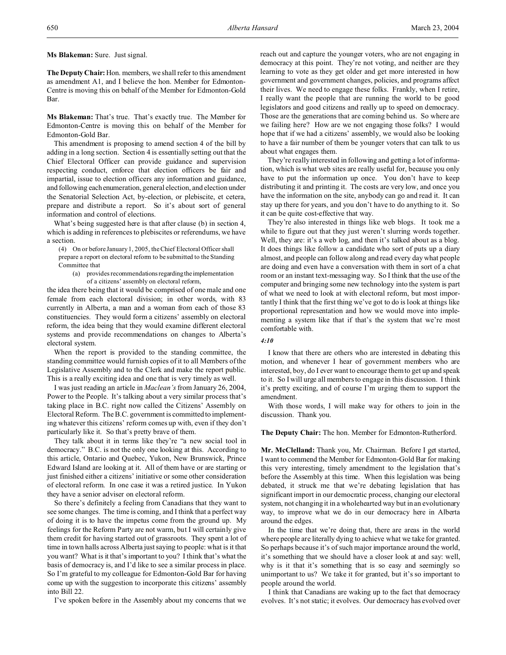**Ms Blakeman:** Sure. Just signal.

**The Deputy Chair:** Hon. members, we shall refer to this amendment as amendment A1, and I believe the hon. Member for Edmonton-Centre is moving this on behalf of the Member for Edmonton-Gold Bar.

**Ms Blakeman:** That's true. That's exactly true. The Member for Edmonton-Centre is moving this on behalf of the Member for Edmonton-Gold Bar.

This amendment is proposing to amend section 4 of the bill by adding in a long section. Section 4 is essentially setting out that the Chief Electoral Officer can provide guidance and supervision respecting conduct, enforce that election officers be fair and impartial, issue to election officers any information and guidance, and following each enumeration, general election, and election under the Senatorial Selection Act, by-election, or plebiscite, et cetera, prepare and distribute a report. So it's about sort of general information and control of elections.

What's being suggested here is that after clause (b) in section 4, which is adding in references to plebiscites or referendums, we have a section.

(4) On or before January 1, 2005, the Chief Electoral Officer shall prepare a report on electoral reform to be submitted to the Standing Committee that

(a) provides recommendationsregardingthe implementation of a citizens' assembly on electoral reform,

the idea there being that it would be comprised of one male and one female from each electoral division; in other words, with 83 currently in Alberta, a man and a woman from each of those 83 constituencies. They would form a citizens' assembly on electoral reform, the idea being that they would examine different electoral systems and provide recommendations on changes to Alberta's electoral system.

When the report is provided to the standing committee, the standing committee would furnish copies of it to all Members of the Legislative Assembly and to the Clerk and make the report public. This is a really exciting idea and one that is very timely as well.

I was just reading an article in *Maclean's* from January 26, 2004, Power to the People. It's talking about a very similar process that's taking place in B.C. right now called the Citizens' Assembly on Electoral Reform. The B.C. government is committed to implementing whatever this citizens' reform comes up with, even if they don't particularly like it. So that's pretty brave of them.

They talk about it in terms like they're "a new social tool in democracy." B.C. is not the only one looking at this. According to this article, Ontario and Quebec, Yukon, New Brunswick, Prince Edward Island are looking at it. All of them have or are starting or just finished either a citizens' initiative or some other consideration of electoral reform. In one case it was a retired justice. In Yukon they have a senior adviser on electoral reform.

So there's definitely a feeling from Canadians that they want to see some changes. The time is coming, and I think that a perfect way of doing it is to have the impetus come from the ground up. My feelings for the Reform Party are not warm, but I will certainly give them credit for having started out of grassroots. They spent a lot of time in town halls across Alberta just saying to people: what is it that you want? What is it that's important to you? I think that's what the basis of democracy is, and I'd like to see a similar process in place. So I'm grateful to my colleague for Edmonton-Gold Bar for having come up with the suggestion to incorporate this citizens' assembly into Bill 22.

I've spoken before in the Assembly about my concerns that we

reach out and capture the younger voters, who are not engaging in democracy at this point. They're not voting, and neither are they learning to vote as they get older and get more interested in how government and government changes, policies, and programs affect their lives. We need to engage these folks. Frankly, when I retire, I really want the people that are running the world to be good legislators and good citizens and really up to speed on democracy. Those are the generations that are coming behind us. So where are we failing here? How are we not engaging those folks? I would hope that if we had a citizens' assembly, we would also be looking to have a fair number of them be younger voters that can talk to us about what engages them.

They're really interested in following and getting a lot of information, which is what web sites are really useful for, because you only have to put the information up once. You don't have to keep distributing it and printing it. The costs are very low, and once you have the information on the site, anybody can go and read it. It can stay up there for years, and you don't have to do anything to it. So it can be quite cost-effective that way.

They're also interested in things like web blogs. It took me a while to figure out that they just weren't slurring words together. Well, they are: it's a web log, and then it's talked about as a blog. It does things like follow a candidate who sort of puts up a diary almost, and people can follow along and read every day what people are doing and even have a conversation with them in sort of a chat room or an instant text-messaging way. So I think that the use of the computer and bringing some new technology into the system is part of what we need to look at with electoral reform, but most importantly I think that the first thing we've got to do is look at things like proportional representation and how we would move into implementing a system like that if that's the system that we're most comfortable with.

# *4:10*

I know that there are others who are interested in debating this motion, and whenever I hear of government members who are interested, boy, do I ever want to encourage them to get up and speak to it. So I will urge all members to engage in this discussion. I think it's pretty exciting, and of course I'm urging them to support the amendment.

With those words, I will make way for others to join in the discussion. Thank you.

**The Deputy Chair:** The hon. Member for Edmonton-Rutherford.

**Mr. McClelland:** Thank you, Mr. Chairman. Before I get started, I want to commend the Member for Edmonton-Gold Bar for making this very interesting, timely amendment to the legislation that's before the Assembly at this time. When this legislation was being debated, it struck me that we're debating legislation that has significant import in our democratic process, changing our electoral system, not changing it in a wholehearted way but in an evolutionary way, to improve what we do in our democracy here in Alberta around the edges.

In the time that we're doing that, there are areas in the world where people are literally dying to achieve what we take for granted. So perhaps because it's of such major importance around the world, it's something that we should have a closer look at and say: well, why is it that it's something that is so easy and seemingly so unimportant to us? We take it for granted, but it's so important to people around the world.

I think that Canadians are waking up to the fact that democracy evolves. It's not static; it evolves. Our democracy has evolved over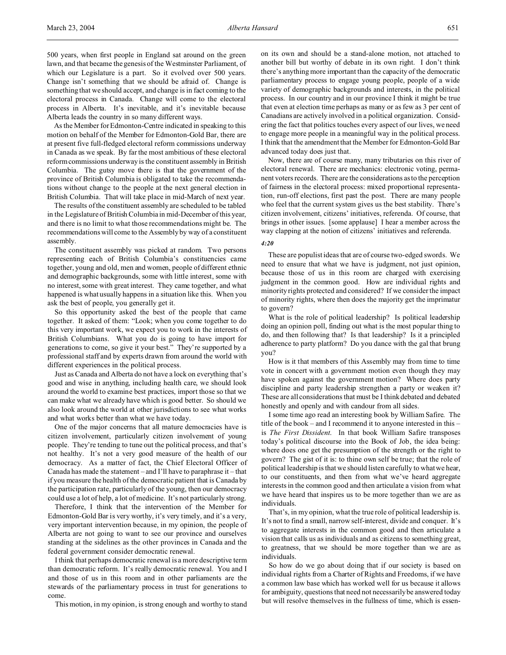500 years, when first people in England sat around on the green lawn, and that became the genesis of the Westminster Parliament, of which our Legislature is a part. So it evolved over 500 years. Change isn't something that we should be afraid of. Change is something that we should accept, and change is in fact coming to the electoral process in Canada. Change will come to the electoral process in Alberta. It's inevitable, and it's inevitable because Alberta leads the country in so many different ways.

As the Member for Edmonton-Centre indicated in speaking to this motion on behalf of the Member for Edmonton-Gold Bar, there are at present five full-fledged electoral reform commissions underway in Canada as we speak. By far the most ambitious of these electoral reform commissions underway is the constituent assembly in British Columbia. The gutsy move there is that the government of the province of British Columbia is obligated to take the recommendations without change to the people at the next general election in British Columbia. That will take place in mid-March of next year.

The results of the constituent assembly are scheduled to be tabled in the Legislature of British Columbia in mid-December of this year, and there is no limit to what those recommendations might be. The recommendations will come to the Assembly by way of a constituent assembly.

The constituent assembly was picked at random. Two persons representing each of British Columbia's constituencies came together, young and old, men and women, people of different ethnic and demographic backgrounds, some with little interest, some with no interest, some with great interest. They came together, and what happened is what usually happens in a situation like this. When you ask the best of people, you generally get it.

So this opportunity asked the best of the people that came together. It asked of them: "Look; when you come together to do this very important work, we expect you to work in the interests of British Columbians. What you do is going to have import for generations to come, so give it your best." They're supported by a professional staff and by experts drawn from around the world with different experiences in the political process.

Just as Canada and Alberta do not have a lock on everything that's good and wise in anything, including health care, we should look around the world to examine best practices, import those so that we can make what we already have which is good better. So should we also look around the world at other jurisdictions to see what works and what works better than what we have today.

One of the major concerns that all mature democracies have is citizen involvement, particularly citizen involvement of young people. They're tending to tune out the political process, and that's not healthy. It's not a very good measure of the health of our democracy. As a matter of fact, the Chief Electoral Officer of Canada has made the statement – and I'll have to paraphrase it – that if you measure the health of the democratic patient that is Canada by the participation rate, particularly of the young, then our democracy could use a lot of help, a lot of medicine. It's not particularly strong.

Therefore, I think that the intervention of the Member for Edmonton-Gold Bar is very worthy, it's very timely, and it's a very, very important intervention because, in my opinion, the people of Alberta are not going to want to see our province and ourselves standing at the sidelines as the other provinces in Canada and the federal government consider democratic renewal.

I think that perhaps democratic renewal is a more descriptive term than democratic reform. It's really democratic renewal. You and I and those of us in this room and in other parliaments are the stewards of the parliamentary process in trust for generations to come.

This motion, in my opinion, is strong enough and worthy to stand

on its own and should be a stand-alone motion, not attached to another bill but worthy of debate in its own right. I don't think there's anything more important than the capacity of the democratic parliamentary process to engage young people, people of a wide variety of demographic backgrounds and interests, in the political process. In our country and in our province I think it might be true that even at election time perhaps as many or as few as 3 per cent of Canadians are actively involved in a political organization. Considering the fact that politics touches every aspect of our lives, we need to engage more people in a meaningful way in the political process. I think that the amendment that the Member for Edmonton-Gold Bar advanced today does just that.

Now, there are of course many, many tributaries on this river of electoral renewal. There are mechanics: electronic voting, permanent voters records. There are the considerations as to the perception of fairness in the electoral process: mixed proportional representation, run-off elections, first past the post. There are many people who feel that the current system gives us the best stability. There's citizen involvement, citizens' initiatives, referenda. Of course, that brings in other issues. [some applause] I hear a member across the way clapping at the notion of citizens' initiatives and referenda.

#### *4:20*

These are populist ideas that are of course two-edged swords. We need to ensure that what we have is judgment, not just opinion, because those of us in this room are charged with exercising judgment in the common good. How are individual rights and minority rights protected and considered? If we consider the impact of minority rights, where then does the majority get the imprimatur to govern?

What is the role of political leadership? Is political leadership doing an opinion poll, finding out what is the most popular thing to do, and then following that? Is that leadership? Is it a principled adherence to party platform? Do you dance with the gal that brung you?

How is it that members of this Assembly may from time to time vote in concert with a government motion even though they may have spoken against the government motion? Where does party discipline and party leadership strengthen a party or weaken it? These are all considerations that must be I think debated and debated honestly and openly and with candour from all sides.

I some time ago read an interesting book by William Safire. The title of the book – and I recommend it to anyone interested in this – is *The First Dissident*. In that book William Safire transposes today's political discourse into the Book of Job, the idea being: where does one get the presumption of the strength or the right to govern? The gist of it is: to thine own self be true; that the role of political leadership is that we should listen carefully to what we hear, to our constituents, and then from what we've heard aggregate interests in the common good and then articulate a vision from what we have heard that inspires us to be more together than we are as individuals.

That's, in my opinion, what the true role of political leadership is. It's not to find a small, narrow self-interest, divide and conquer. It's to aggregate interests in the common good and then articulate a vision that calls us as individuals and as citizens to something great, to greatness, that we should be more together than we are as individuals.

So how do we go about doing that if our society is based on individual rights from a Charter of Rights and Freedoms, if we have a common law base which has worked well for us because it allows for ambiguity, questions that need not necessarily be answered today but will resolve themselves in the fullness of time, which is essen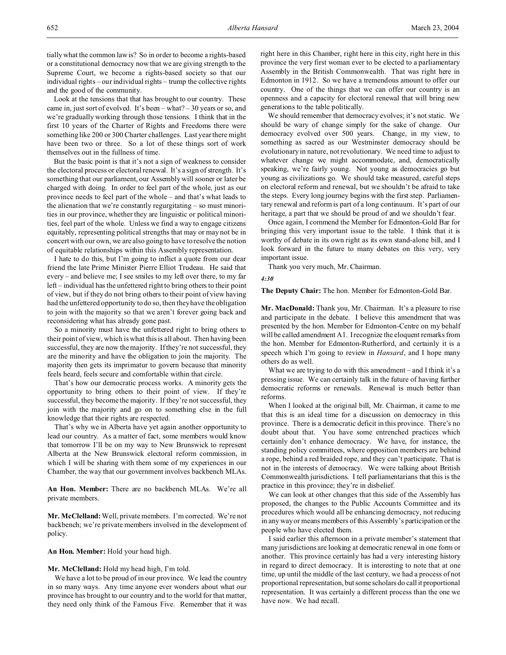tially what the common law is? So in order to become a rights-based or a constitutional democracy now that we are giving strength to the Supreme Court, we become a rights-based society so that our individual rights – our individual rights – trump the collective rights and the good of the community.

Look at the tensions that that has brought to our country. These came in, just sort of evolved. It's been – what? – 30 years or so, and we're gradually working through those tensions. I think that in the first 10 years of the Charter of Rights and Freedoms there were something like 200 or 300 Charter challenges. Last year there might have been two or three. So a lot of these things sort of work themselves out in the fullness of time.

But the basic point is that it's not a sign of weakness to consider the electoral process or electoral renewal. It's a sign of strength. It's something that our parliament, our Assembly will sooner or later be charged with doing. In order to feel part of the whole, just as our province needs to feel part of the whole – and that's what leads to the alienation that we're constantly regurgitating – so must minorities in our province, whether they are linguistic or political minorities, feel part of the whole. Unless we find a way to engage citizens equitably, representing political strengths that may or may not be in concert with our own, we are also going to have to resolve the notion of equitable relationships within this Assembly representation.

I hate to do this, but I'm going to inflict a quote from our dear friend the late Prime Minister Pierre Elliot Trudeau. He said that every – and believe me; I see smiles to my left over there, to my far left – individual has the unfettered right to bring others to their point of view, but if they do not bring others to their point of view having had the unfettered opportunity to do so, then they have the obligation to join with the majority so that we aren't forever going back and reconsidering what has already gone past.

So a minority must have the unfettered right to bring others to their point of view, which is what this is all about. Then having been successful, they are now the majority. If they're not successful, they are the minority and have the obligation to join the majority. The majority then gets its imprimatur to govern because that minority feels heard, feels secure and comfortable within that circle.

That's how our democratic process works. A minority gets the opportunity to bring others to their point of view. If they're successful, they become the majority. If they're not successful, they join with the majority and go on to something else in the full knowledge that their rights are respected.

That's why we in Alberta have yet again another opportunity to lead our country. As a matter of fact, some members would know that tomorrow I'll be on my way to New Brunswick to represent Alberta at the New Brunswick electoral reform commission, in which I will be sharing with them some of my experiences in our Chamber, the way that our government involves backbench MLAs.

**An Hon. Member:** There are no backbench MLAs. We're all private members.

**Mr. McClelland:** Well, private members. I'm corrected. We're not backbench; we're private members involved in the development of policy.

**An Hon. Member:** Hold your head high.

**Mr. McClelland:** Hold my head high, I'm told.

We have a lot to be proud of in our province. We lead the country in so many ways. Any time anyone ever wonders about what our province has brought to our country and to the world for that matter, they need only think of the Famous Five. Remember that it was right here in this Chamber, right here in this city, right here in this province the very first woman ever to be elected to a parliamentary Assembly in the British Commonwealth. That was right here in Edmonton in 1912. So we have a tremendous amount to offer our country. One of the things that we can offer our country is an openness and a capacity for electoral renewal that will bring new generations to the table politically.

We should remember that democracy evolves; it's not static. We should be wary of change simply for the sake of change. Our democracy evolved over 500 years. Change, in my view, to something as sacred as our Westminster democracy should be evolutionary in nature, not revolutionary. We need time to adjust to whatever change we might accommodate, and, democratically speaking, we're fairly young. Not young as democracies go but young as civilizations go. We should take measured, careful steps on electoral reform and renewal, but we shouldn't be afraid to take the steps. Every long journey begins with the first step. Parliamentary renewal and reform is part of a long continuum. It's part of our heritage, a part that we should be proud of and we shouldn't fear.

Once again, I commend the Member for Edmonton-Gold Bar for bringing this very important issue to the table. I think that it is worthy of debate in its own right as its own stand-alone bill, and I look forward in the future to many debates on this very, very important issue.

Thank you very much, Mr. Chairman.

*4:30*

**The Deputy Chair:** The hon. Member for Edmonton-Gold Bar.

**Mr. MacDonald:** Thank you, Mr. Chairman. It's a pleasure to rise and participate in the debate. I believe this amendment that was presented by the hon. Member for Edmonton-Centre on my behalf will be called amendment A1. I recognize the eloquent remarks from the hon. Member for Edmonton-Rutherford, and certainly it is a speech which I'm going to review in *Hansard*, and I hope many others do as well.

What we are trying to do with this amendment – and I think it's a pressing issue. We can certainly talk in the future of having further democratic reforms or renewals. Renewal is much better than reforms.

When I looked at the original bill, Mr. Chairman, it came to me that this is an ideal time for a discussion on democracy in this province. There is a democratic deficit in this province. There's no doubt about that. You have some entrenched practices which certainly don't enhance democracy. We have, for instance, the standing policy committees, where opposition members are behind a rope, behind a red braided rope, and they can't participate. That is not in the interests of democracy. We were talking about British Commonwealth jurisdictions. I tell parliamentarians that this is the practice in this province; they're in disbelief.

We can look at other changes that this side of the Assembly has proposed, the changes to the Public Accounts Committee and its procedures which would all be enhancing democracy, not reducing in any way or means members of this Assembly's participation or the people who have elected them.

I said earlier this afternoon in a private member's statement that many jurisdictions are looking at democratic renewal in one form or another. This province certainly has had a very interesting history in regard to direct democracy. It is interesting to note that at one time, up until the middle of the last century, we had a process of not proportional representation, but some scholars do call it proportional representation. It was certainly a different process than the one we have now. We had recall.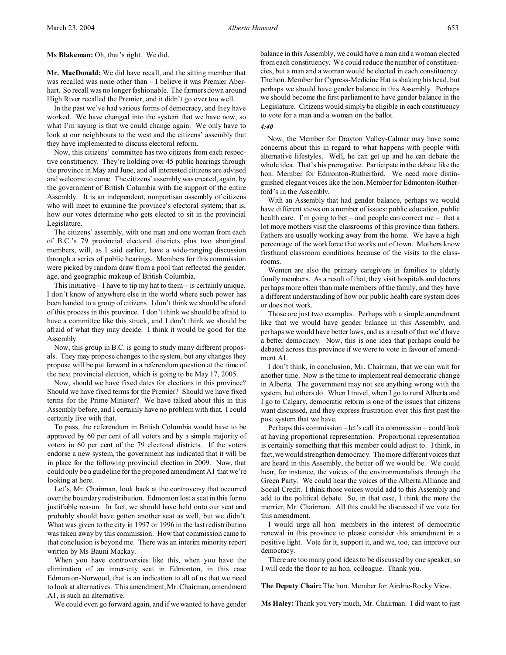**Ms Blakeman:** Oh, that's right. We did.

**Mr. MacDonald:** We did have recall, and the sitting member that was recalled was none other than – I believe it was Premier Aberhart. So recall was no longer fashionable. The farmers down around High River recalled the Premier, and it didn't go over too well.

In the past we've had various forms of democracy, and they have worked. We have changed into the system that we have now, so what I'm saying is that we could change again. We only have to look at our neighbours to the west and the citizens' assembly that they have implemented to discuss electoral reform.

Now, this citizens' committee has two citizens from each respective constituency. They're holding over 45 public hearings through the province in May and June, and all interested citizens are advised and welcome to come. The citizens' assembly was created, again, by the government of British Columbia with the support of the entire Assembly. It is an independent, nonpartisan assembly of citizens who will meet to examine the province's electoral system; that is, how our votes determine who gets elected to sit in the provincial Legislature.

The citizens' assembly, with one man and one woman from each of B.C.'s 79 provincial electoral districts plus two aboriginal members, will, as I said earlier, have a wide-ranging discussion through a series of public hearings. Members for this commission were picked by random draw from a pool that reflected the gender, age, and geographic makeup of British Columbia.

This initiative  $-1$  have to tip my hat to them  $-$  is certainly unique. I don't know of anywhere else in the world where such power has been handed to a group of citizens. I don't think we should be afraid of this process in this province. I don't think we should be afraid to have a committee like this struck, and I don't think we should be afraid of what they may decide. I think it would be good for the Assembly.

Now, this group in B.C. is going to study many different proposals. They may propose changes to the system, but any changes they propose will be put forward in a referendum question at the time of the next provincial election, which is going to be May 17, 2005.

Now, should we have fixed dates for elections in this province? Should we have fixed terms for the Premier? Should we have fixed terms for the Prime Minister? We have talked about this in this Assembly before, and I certainly have no problem with that. I could certainly live with that.

To pass, the referendum in British Columbia would have to be approved by 60 per cent of all voters and by a simple majority of voters in 60 per cent of the 79 electoral districts. If the voters endorse a new system, the government has indicated that it will be in place for the following provincial election in 2009. Now, that could only be a guideline for the proposed amendment A1 that we're looking at here.

Let's, Mr. Chairman, look back at the controversy that occurred over the boundary redistribution. Edmonton lost a seat in this for no justifiable reason. In fact, we should have held onto our seat and probably should have gotten another seat as well, but we didn't. What was given to the city in 1997 or 1996 in the last redistribution was taken away by this commission. How that commission came to that conclusion is beyond me. There was an interim minority report written by Ms Bauni Mackay.

When you have controversies like this, when you have the elimination of an inner-city seat in Edmonton, in this case Edmonton-Norwood, that is an indication to all of us that we need to look at alternatives. This amendment, Mr. Chairman, amendment A1, is such an alternative.

We could even go forward again, and if we wanted to have gender

balance in this Assembly, we could have a man and a woman elected from each constituency. We could reduce the number of constituencies, but a man and a woman would be elected in each constituency. The hon. Member for Cypress-Medicine Hat is shaking his head, but perhaps we should have gender balance in this Assembly. Perhaps we should become the first parliament to have gender balance in the Legislature. Citizens would simply be eligible in each constituency to vote for a man and a woman on the ballot.

#### *4:40*

Now, the Member for Drayton Valley-Calmar may have some concerns about this in regard to what happens with people with alternative lifestyles. Well, he can get up and he can debate the whole idea. That's his prerogative. Participate in the debate like the hon. Member for Edmonton-Rutherford. We need more distinguished elegant voices like the hon. Member for Edmonton-Rutherford's in the Assembly.

With an Assembly that had gender balance, perhaps we would have different views on a number of issues: public education, public health care. I'm going to bet – and people can correct me – that a lot more mothers visit the classrooms of this province than fathers. Fathers are usually working away from the home. We have a high percentage of the workforce that works out of town. Mothers know firsthand classroom conditions because of the visits to the classrooms.

Women are also the primary caregivers in families to elderly family members. As a result of that, they visit hospitals and doctors perhaps more often than male members of the family, and they have a different understanding of how our public health care system does or does not work.

Those are just two examples. Perhaps with a simple amendment like that we would have gender balance in this Assembly, and perhaps we would have better laws, and as a result of that we'd have a better democracy. Now, this is one idea that perhaps could be debated across this province if we were to vote in favour of amendment A1.

I don't think, in conclusion, Mr. Chairman, that we can wait for another time. Now is the time to implement real democratic change in Alberta. The government may not see anything wrong with the system, but others do. When I travel, when I go to rural Alberta and I go to Calgary, democratic reform is one of the issues that citizens want discussed, and they express frustration over this first past the post system that we have.

Perhaps this commission – let's call it a commission – could look at having proportional representation. Proportional representation is certainly something that this member could adjust to. I think, in fact, we would strengthen democracy. The more different voices that are heard in this Assembly, the better off we would be. We could hear, for instance, the voices of the environmentalists through the Green Party. We could hear the voices of the Alberta Alliance and Social Credit. I think those voices would add to this Assembly and add to the political debate. So, in that case, I think the more the merrier, Mr. Chairman. All this could be discussed if we vote for this amendment.

I would urge all hon. members in the interest of democratic renewal in this province to please consider this amendment in a positive light. Vote for it, support it, and we, too, can improve our democracy.

There are too many good ideas to be discussed by one speaker, so I will cede the floor to an hon. colleague. Thank you.

**The Deputy Chair:** The hon. Member for Airdrie-Rocky View.

**Ms Haley:** Thank you very much, Mr. Chairman. I did want to just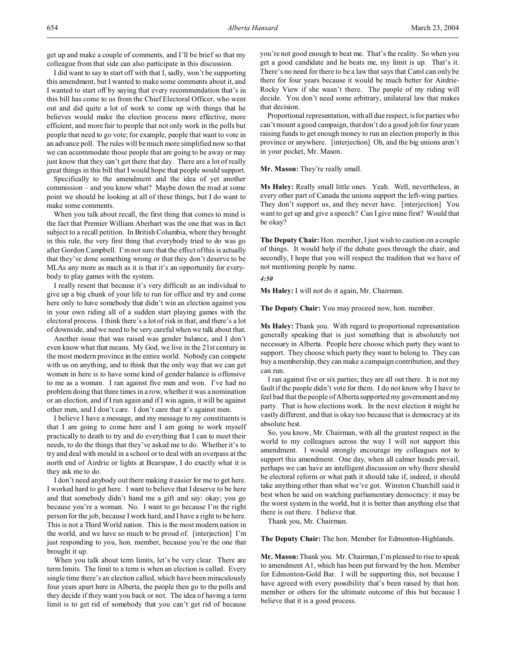get up and make a couple of comments, and I'll be brief so that my colleague from that side can also participate in this discussion.

I did want to say to start off with that I, sadly, won't be supporting this amendment, but I wanted to make some comments about it, and I wanted to start off by saying that every recommendation that's in this bill has come to us from the Chief Electoral Officer, who went out and did quite a lot of work to come up with things that he believes would make the election process more effective, more efficient, and more fair to people that not only work in the polls but people that need to go vote; for example, people that want to vote in an advance poll. The rules will be much more simplified now so that we can accommodate those people that are going to be away or may just know that they can't get there that day. There are a lot of really great things in this bill that I would hope that people would support.

Specifically to the amendment and the idea of yet another commission – and you know what? Maybe down the road at some point we should be looking at all of these things, but I do want to make some comments.

When you talk about recall, the first thing that comes to mind is the fact that Premier William Aberhart was the one that was in fact subject to a recall petition. In British Columbia, where they brought in this rule, the very first thing that everybody tried to do was go after Gordon Campbell. I'm not sure that the effect of this is actually that they've done something wrong or that they don't deserve to be MLAs any more as much as it is that it's an opportunity for everybody to play games with the system.

I really resent that because it's very difficult as an individual to give up a big chunk of your life to run for office and try and come here only to have somebody that didn't win an election against you in your own riding all of a sudden start playing games with the electoral process. I think there's a lot of risk in that, and there's a lot of downside, and we need to be very careful when we talk about that.

Another issue that was raised was gender balance, and I don't even know what that means. My God, we live in the 21st century in the most modern province in the entire world. Nobody can compete with us on anything, and to think that the only way that we can get women in here is to have some kind of gender balance is offensive to me as a woman. I ran against five men and won. I've had no problem doing that three times in a row, whether it was a nomination or an election, and if I run again and if I win again, it will be against other men, and I don't care. I don't care that it's against men.

I believe I have a message, and my message to my constituents is that I am going to come here and I am going to work myself practically to death to try and do everything that I can to meet their needs, to do the things that they've asked me to do. Whether it's to try and deal with mould in a school or to deal with an overpass at the north end of Airdrie or lights at Bearspaw, I do exactly what it is they ask me to do.

I don't need anybody out there making it easier for me to get here. I worked hard to get here. I want to believe that I deserve to be here and that somebody didn't hand me a gift and say: okay; you go because you're a woman. No. I want to go because I'm the right person for the job, because I work hard, and I have a right to be here. This is not a Third World nation. This is the most modern nation in the world, and we have so much to be proud of. [interjection] I'm just responding to you, hon. member, because you're the one that brought it up.

When you talk about term limits, let's be very clear. There are term limits. The limit to a term is when an election is called. Every single time there's an election called, which have been miraculously four years apart here in Alberta, the people then go to the polls and they decide if they want you back or not. The idea of having a term limit is to get rid of somebody that you can't get rid of because

you're not good enough to beat me. That's the reality. So when you get a good candidate and he beats me, my limit is up. That's it. There's no need for there to be a law that says that Carol can only be there for four years because it would be much better for Airdrie-Rocky View if she wasn't there. The people of my riding will decide. You don't need some arbitrary, unilateral law that makes that decision.

Proportional representation, with all due respect, is for parties who can't mount a good campaign, that don't do a good job for four years raising funds to get enough money to run an election properly in this province or anywhere. [interjection] Oh, and the big unions aren't in your pocket, Mr. Mason.

**Mr. Mason:** They're really small.

**Ms Haley:** Really small little ones. Yeah. Well, nevertheless, in every other part of Canada the unions support the left-wing parties. They don't support us, and they never have. [interjection] You want to get up and give a speech? Can I give mine first? Would that be okay?

**The Deputy Chair:**Hon. member, I just wish to caution on a couple of things. It would help if the debate goes through the chair, and secondly, I hope that you will respect the tradition that we have of not mentioning people by name.

#### *4:50*

**Ms Haley:** I will not do it again, Mr. Chairman.

**The Deputy Chair:** You may proceed now, hon. member.

**Ms Haley:** Thank you. With regard to proportional representation generally speaking that is just something that is absolutely not necessary in Alberta. People here choose which party they want to support. They choose which party they want to belong to. They can buy a membership, they can make a campaign contribution, and they can run.

I ran against five or six parties; they are all out there. It is not my fault if the people didn't vote for them. I do not know why I have to feel bad that the people of Alberta supported my government and my party. That is how elections work. In the next election it might be vastly different, and that is okay too because that is democracy at its absolute best.

So, you know, Mr. Chairman, with all the greatest respect in the world to my colleagues across the way I will not support this amendment. I would strongly encourage my colleagues not to support this amendment. One day, when all calmer heads prevail, perhaps we can have an intelligent discussion on why there should be electoral reform or what path it should take if, indeed, it should take anything other than what we've got. Winston Churchill said it best when he said on watching parliamentary democracy: it may be the worst system in the world, but it is better than anything else that there is out there. I believe that.

Thank you, Mr. Chairman.

#### **The Deputy Chair:** The hon. Member for Edmonton-Highlands.

**Mr. Mason:** Thank you. Mr. Chairman, I'm pleased to rise to speak to amendment A1, which has been put forward by the hon. Member for Edmonton-Gold Bar. I will be supporting this, not because I have agreed with every possibility that's been raised by that hon. member or others for the ultimate outcome of this but because I believe that it is a good process.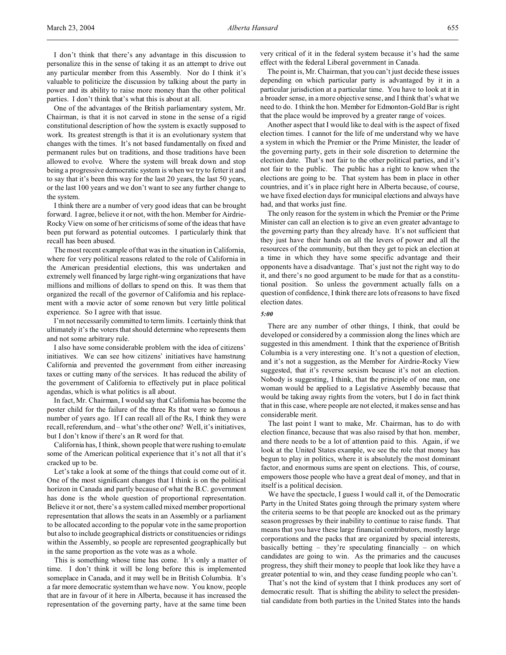I don't think that there's any advantage in this discussion to personalize this in the sense of taking it as an attempt to drive out any particular member from this Assembly. Nor do I think it's valuable to politicize the discussion by talking about the party in power and its ability to raise more money than the other political parties. I don't think that's what this is about at all.

One of the advantages of the British parliamentary system, Mr. Chairman, is that it is not carved in stone in the sense of a rigid constitutional description of how the system is exactly supposed to work. Its greatest strength is that it is an evolutionary system that changes with the times. It's not based fundamentally on fixed and permanent rules but on traditions, and those traditions have been allowed to evolve. Where the system will break down and stop being a progressive democratic system is when we try to fetter it and to say that it's been this way for the last 20 years, the last 50 years, or the last 100 years and we don't want to see any further change to the system.

I think there are a number of very good ideas that can be brought forward. I agree, believe it or not, with the hon. Member for Airdrie-Rocky View on some of her criticisms of some of the ideas that have been put forward as potential outcomes. I particularly think that recall has been abused.

The most recent example of that was in the situation in California, where for very political reasons related to the role of California in the American presidential elections, this was undertaken and extremely well financed by large right-wing organizations that have millions and millions of dollars to spend on this. It was them that organized the recall of the governor of California and his replacement with a movie actor of some renown but very little political experience. So I agree with that issue.

I'm not necessarily committed to term limits. I certainly think that ultimately it's the voters that should determine who represents them and not some arbitrary rule.

I also have some considerable problem with the idea of citizens' initiatives. We can see how citizens' initiatives have hamstrung California and prevented the government from either increasing taxes or cutting many of the services. It has reduced the ability of the government of California to effectively put in place political agendas, which is what politics is all about.

In fact, Mr. Chairman, I would say that California has become the poster child for the failure of the three Rs that were so famous a number of years ago. If I can recall all of the Rs, I think they were recall, referendum, and – what's the other one? Well, it's initiatives, but I don't know if there's an R word for that.

California has, I think, shown people that were rushing to emulate some of the American political experience that it's not all that it's cracked up to be.

Let's take a look at some of the things that could come out of it. One of the most significant changes that I think is on the political horizon in Canada and partly because of what the B.C. government has done is the whole question of proportional representation. Believe it or not, there's a system called mixed member proportional representation that allows the seats in an Assembly or a parliament to be allocated according to the popular vote in the same proportion but also to include geographical districts or constituencies or ridings within the Assembly, so people are represented geographically but in the same proportion as the vote was as a whole.

This is something whose time has come. It's only a matter of time. I don't think it will be long before this is implemented someplace in Canada, and it may well be in British Columbia. It's a far more democratic system than we have now. You know, people that are in favour of it here in Alberta, because it has increased the representation of the governing party, have at the same time been

very critical of it in the federal system because it's had the same effect with the federal Liberal government in Canada.

The point is, Mr. Chairman, that you can't just decide these issues depending on which particular party is advantaged by it in a particular jurisdiction at a particular time. You have to look at it in a broader sense, in a more objective sense, and I think that's what we need to do. I think the hon. Member for Edmonton-Gold Bar is right that the place would be improved by a greater range of voices.

Another aspect that I would like to deal with is the aspect of fixed election times. I cannot for the life of me understand why we have a system in which the Premier or the Prime Minister, the leader of the governing party, gets in their sole discretion to determine the election date. That's not fair to the other political parties, and it's not fair to the public. The public has a right to know when the elections are going to be. That system has been in place in other countries, and it's in place right here in Alberta because, of course, we have fixed election days for municipal elections and always have had, and that works just fine.

The only reason for the system in which the Premier or the Prime Minister can call an election is to give an even greater advantage to the governing party than they already have. It's not sufficient that they just have their hands on all the levers of power and all the resources of the community, but then they get to pick an election at a time in which they have some specific advantage and their opponents have a disadvantage. That's just not the right way to do it, and there's no good argument to be made for that as a constitutional position. So unless the government actually falls on a question of confidence, I think there are lots of reasons to have fixed election dates.

#### *5:00*

There are any number of other things, I think, that could be developed or considered by a commission along the lines which are suggested in this amendment. I think that the experience of British Columbia is a very interesting one. It's not a question of election, and it's not a suggestion, as the Member for Airdrie-Rocky View suggested, that it's reverse sexism because it's not an election. Nobody is suggesting, I think, that the principle of one man, one woman would be applied to a Legislative Assembly because that would be taking away rights from the voters, but I do in fact think that in this case, where people are not elected, it makes sense and has considerable merit.

The last point I want to make, Mr. Chairman, has to do with election finance, because that was also raised by that hon. member, and there needs to be a lot of attention paid to this. Again, if we look at the United States example, we see the role that money has begun to play in politics, where it is absolutely the most dominant factor, and enormous sums are spent on elections. This, of course, empowers those people who have a great deal of money, and that in itself is a political decision.

We have the spectacle, I guess I would call it, of the Democratic Party in the United States going through the primary system where the criteria seems to be that people are knocked out as the primary season progresses by their inability to continue to raise funds. That means that you have these large financial contributors, mostly large corporations and the packs that are organized by special interests, basically betting – they're speculating financially – on which candidates are going to win. As the primaries and the caucuses progress, they shift their money to people that look like they have a greater potential to win, and they cease funding people who can't.

That's not the kind of system that I think produces any sort of democratic result. That is shifting the ability to select the presidential candidate from both parties in the United States into the hands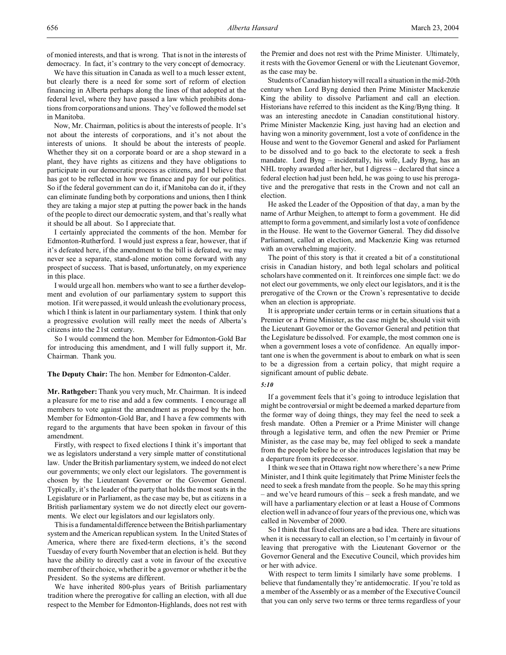of monied interests, and that is wrong. That is not in the interests of democracy. In fact, it's contrary to the very concept of democracy.

We have this situation in Canada as well to a much lesser extent, but clearly there is a need for some sort of reform of election financing in Alberta perhaps along the lines of that adopted at the federal level, where they have passed a law which prohibits donations from corporations and unions. They've followed the model set in Manitoba.

Now, Mr. Chairman, politics is about the interests of people. It's not about the interests of corporations, and it's not about the interests of unions. It should be about the interests of people. Whether they sit on a corporate board or are a shop steward in a plant, they have rights as citizens and they have obligations to participate in our democratic process as citizens, and I believe that has got to be reflected in how we finance and pay for our politics. So if the federal government can do it, if Manitoba can do it, if they can eliminate funding both by corporations and unions, then I think they are taking a major step at putting the power back in the hands of the people to direct our democratic system, and that's really what it should be all about. So I appreciate that.

I certainly appreciated the comments of the hon. Member for Edmonton-Rutherford. I would just express a fear, however, that if it's defeated here, if the amendment to the bill is defeated, we may never see a separate, stand-alone motion come forward with any prospect of success. That is based, unfortunately, on my experience in this place.

I would urge all hon. members who want to see a further development and evolution of our parliamentary system to support this motion. If it were passed, it would unleash the evolutionary process, which I think is latent in our parliamentary system. I think that only a progressive evolution will really meet the needs of Alberta's citizens into the 21st century.

So I would commend the hon. Member for Edmonton-Gold Bar for introducing this amendment, and I will fully support it, Mr. Chairman. Thank you.

**The Deputy Chair:** The hon. Member for Edmonton-Calder.

**Mr. Rathgeber:** Thank you very much, Mr. Chairman. It is indeed a pleasure for me to rise and add a few comments. I encourage all members to vote against the amendment as proposed by the hon. Member for Edmonton-Gold Bar, and I have a few comments with regard to the arguments that have been spoken in favour of this amendment.

Firstly, with respect to fixed elections I think it's important that we as legislators understand a very simple matter of constitutional law. Under the British parliamentary system, we indeed do not elect our governments; we only elect our legislators. The government is chosen by the Lieutenant Governor or the Governor General. Typically, it's the leader of the party that holds the most seats in the Legislature or in Parliament, as the case may be, but as citizens in a British parliamentary system we do not directly elect our governments. We elect our legislators and our legislators only.

This is a fundamental difference between the British parliamentary system and the American republican system. In the United States of America, where there are fixed-term elections, it's the second Tuesday of every fourth November that an election is held. But they have the ability to directly cast a vote in favour of the executive member of their choice, whether it be a governor or whether it be the President. So the systems are different.

We have inherited 800-plus years of British parliamentary tradition where the prerogative for calling an election, with all due respect to the Member for Edmonton-Highlands, does not rest with

the Premier and does not rest with the Prime Minister. Ultimately, it rests with the Governor General or with the Lieutenant Governor, as the case may be.

Students of Canadian history will recall a situation in the mid-20th century when Lord Byng denied then Prime Minister Mackenzie King the ability to dissolve Parliament and call an election. Historians have referred to this incident as the King/Byng thing. It was an interesting anecdote in Canadian constitutional history. Prime Minister Mackenzie King, just having had an election and having won a minority government, lost a vote of confidence in the House and went to the Governor General and asked for Parliament to be dissolved and to go back to the electorate to seek a fresh mandate. Lord Byng – incidentally, his wife, Lady Byng, has an NHL trophy awarded after her, but I digress – declared that since a federal election had just been held, he was going to use his prerogative and the prerogative that rests in the Crown and not call an election.

He asked the Leader of the Opposition of that day, a man by the name of Arthur Meighen, to attempt to form a government. He did attempt to form a government, and similarly lost a vote of confidence in the House. He went to the Governor General. They did dissolve Parliament, called an election, and Mackenzie King was returned with an overwhelming majority.

The point of this story is that it created a bit of a constitutional crisis in Canadian history, and both legal scholars and political scholars have commented on it. It reinforces one simple fact: we do not elect our governments, we only elect our legislators, and it is the prerogative of the Crown or the Crown's representative to decide when an election is appropriate.

It is appropriate under certain terms or in certain situations that a Premier or a Prime Minister, as the case might be, should visit with the Lieutenant Governor or the Governor General and petition that the Legislature be dissolved. For example, the most common one is when a government loses a vote of confidence. An equally important one is when the government is about to embark on what is seen to be a digression from a certain policy, that might require a significant amount of public debate.

#### *5:10*

If a government feels that it's going to introduce legislation that might be controversial or might be deemed a marked departure from the former way of doing things, they may feel the need to seek a fresh mandate. Often a Premier or a Prime Minister will change through a legislative term, and often the new Premier or Prime Minister, as the case may be, may feel obliged to seek a mandate from the people before he or she introduces legislation that may be a departure from its predecessor.

I think we see that in Ottawa right now where there's a new Prime Minister, and I think quite legitimately that Prime Minister feels the need to seek a fresh mandate from the people. So he may this spring – and we've heard rumours of this – seek a fresh mandate, and we will have a parliamentary election or at least a House of Commons election well in advance of four years of the previous one, which was called in November of 2000.

So I think that fixed elections are a bad idea. There are situations when it is necessary to call an election, so I'm certainly in favour of leaving that prerogative with the Lieutenant Governor or the Governor General and the Executive Council, which provides him or her with advice.

With respect to term limits I similarly have some problems. I believe that fundamentally they're antidemocratic. If you're told as a member of the Assembly or as a member of the Executive Council that you can only serve two terms or three terms regardless of your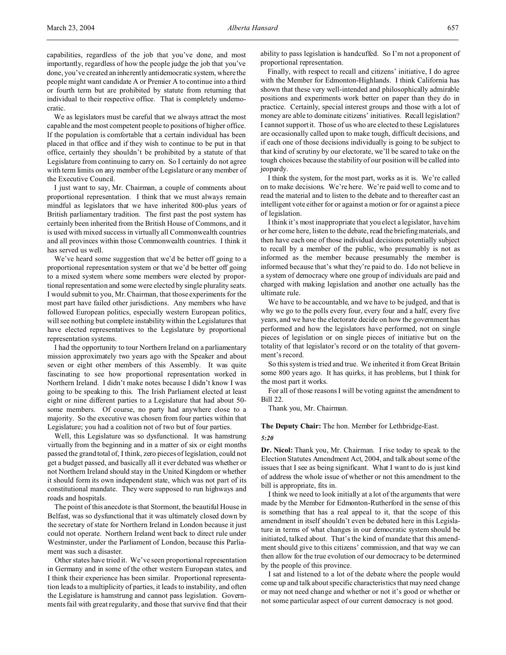capabilities, regardless of the job that you've done, and most importantly, regardless of how the people judge the job that you've done, you've created an inherently antidemocratic system, where the people might want candidate A or Premier A to continue into a third or fourth term but are prohibited by statute from returning that individual to their respective office. That is completely undemocratic.

We as legislators must be careful that we always attract the most capable and the most competent people to positions of higher office. If the population is comfortable that a certain individual has been placed in that office and if they wish to continue to be put in that office, certainly they shouldn't be prohibited by a statute of that Legislature from continuing to carry on. So I certainly do not agree with term limits on any member of the Legislature or any member of the Executive Council.

I just want to say, Mr. Chairman, a couple of comments about proportional representation. I think that we must always remain mindful as legislators that we have inherited 800-plus years of British parliamentary tradition. The first past the post system has certainly been inherited from the British House of Commons, and it is used with mixed success in virtually all Commonwealth countries and all provinces within those Commonwealth countries. I think it has served us well.

We've heard some suggestion that we'd be better off going to a proportional representation system or that we'd be better off going to a mixed system where some members were elected by proportional representation and some were elected by single plurality seats. I would submit to you, Mr. Chairman, that those experiments for the most part have failed other jurisdictions. Any members who have followed European politics, especially western European politics, will see nothing but complete instability within the Legislatures that have elected representatives to the Legislature by proportional representation systems.

I had the opportunity to tour Northern Ireland on a parliamentary mission approximately two years ago with the Speaker and about seven or eight other members of this Assembly. It was quite fascinating to see how proportional representation worked in Northern Ireland. I didn't make notes because I didn't know I was going to be speaking to this. The Irish Parliament elected at least eight or nine different parties to a Legislature that had about 50 some members. Of course, no party had anywhere close to a majority. So the executive was chosen from four parties within that Legislature; you had a coalition not of two but of four parties.

Well, this Legislature was so dysfunctional. It was hamstrung virtually from the beginning and in a matter of six or eight months passed the grand total of, I think, zero pieces of legislation, could not get a budget passed, and basically all it ever debated was whether or not Northern Ireland should stay in the United Kingdom or whether it should form its own independent state, which was not part of its constitutional mandate. They were supposed to run highways and roads and hospitals.

The point of this anecdote is that Stormont, the beautiful House in Belfast, was so dysfunctional that it was ultimately closed down by the secretary of state for Northern Ireland in London because it just could not operate. Northern Ireland went back to direct rule under Westminster, under the Parliament of London, because this Parliament was such a disaster.

Other states have tried it. We've seen proportional representation in Germany and in some of the other western European states, and I think their experience has been similar. Proportional representation leads to a multiplicity of parties, it leads to instability, and often the Legislature is hamstrung and cannot pass legislation. Governments fail with great regularity, and those that survive find that their

ability to pass legislation is handcuffed. So I'm not a proponent of proportional representation.

Finally, with respect to recall and citizens' initiative, I do agree with the Member for Edmonton-Highlands. I think California has shown that these very well-intended and philosophically admirable positions and experiments work better on paper than they do in practice. Certainly, special interest groups and those with a lot of money are able to dominate citizens' initiatives. Recall legislation? I cannot support it. Those of us who are elected to these Legislatures are occasionally called upon to make tough, difficult decisions, and if each one of those decisions individually is going to be subject to that kind of scrutiny by our electorate, we'll be scared to take on the tough choices because the stability of our position will be called into jeopardy.

I think the system, for the most part, works as it is. We're called on to make decisions. We're here. We're paid well to come and to read the material and to listen to the debate and to thereafter cast an intelligent vote either for or against a motion or for or against a piece of legislation.

I think it's most inappropriate that you elect a legislator, have him or her come here, listen to the debate, read the briefing materials, and then have each one of those individual decisions potentially subject to recall by a member of the public, who presumably is not as informed as the member because presumably the member is informed because that's what they're paid to do. I do not believe in a system of democracy where one group of individuals are paid and charged with making legislation and another one actually has the ultimate rule.

We have to be accountable, and we have to be judged, and that is why we go to the polls every four, every four and a half, every five years, and we have the electorate decide on how the government has performed and how the legislators have performed, not on single pieces of legislation or on single pieces of initiative but on the totality of that legislator's record or on the totality of that government's record.

So this system is tried and true. We inherited it from Great Britain some 800 years ago. It has quirks, it has problems, but I think for the most part it works.

For all of those reasons I will be voting against the amendment to Bill 22.

Thank you, Mr. Chairman.

**The Deputy Chair:** The hon. Member for Lethbridge-East.

# *5:20*

**Dr. Nicol:** Thank you, Mr. Chairman. I rise today to speak to the Election Statutes Amendment Act, 2004, and talk about some of the issues that I see as being significant. What I want to do is just kind of address the whole issue of whether or not this amendment to the bill is appropriate, fits in.

I think we need to look initially at a lot of the arguments that were made by the Member for Edmonton-Rutherford in the sense of this is something that has a real appeal to it, that the scope of this amendment in itself shouldn't even be debated here in this Legislature in terms of what changes in our democratic system should be initiated, talked about. That's the kind of mandate that this amendment should give to this citizens' commission, and that way we can then allow for the true evolution of our democracy to be determined by the people of this province.

I sat and listened to a lot of the debate where the people would come up and talk about specific characteristics that may need change or may not need change and whether or not it's good or whether or not some particular aspect of our current democracy is not good.